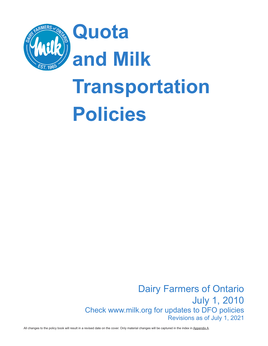

# **Transportation Policies**

Dairy Farmers of Ontario July 1, 2010 Check www.milk.org for updates to DFO policies Revisions as of July 1, 2021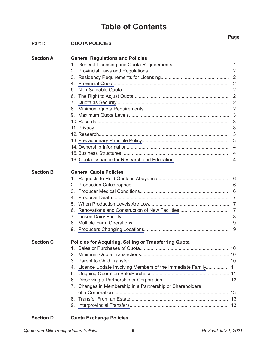### <span id="page-1-0"></span>**Table of Contents**

|                  |                                                                   | Page |
|------------------|-------------------------------------------------------------------|------|
| Part I:          | <b>QUOTA POLICIES</b>                                             |      |
| <b>Section A</b> | <b>General Regulations and Policies</b>                           |      |
|                  | 1.                                                                |      |
|                  | $2_{\cdot}$                                                       |      |
|                  | 3.                                                                |      |
|                  | 4.                                                                |      |
|                  | 5.                                                                |      |
|                  | 6.                                                                |      |
|                  | 7.                                                                |      |
|                  |                                                                   |      |
|                  |                                                                   |      |
|                  |                                                                   |      |
|                  |                                                                   |      |
|                  |                                                                   | 3    |
|                  |                                                                   |      |
|                  |                                                                   |      |
|                  |                                                                   | 4    |
|                  |                                                                   | 4    |
| <b>Section B</b> | <b>General Quota Policies</b>                                     |      |
|                  |                                                                   |      |
|                  | 2.                                                                |      |
|                  | 3.                                                                | 6    |
|                  | 4                                                                 | 7    |
|                  | 5.                                                                |      |
|                  | 6.                                                                |      |
|                  | 7.                                                                |      |
|                  |                                                                   |      |
|                  | q.                                                                | 9    |
| <b>Section C</b> | <b>Policies for Acquiring, Selling or Transferring Quota</b>      |      |
|                  | 1.                                                                |      |
|                  | 2.                                                                |      |
|                  | 3.                                                                |      |
|                  | Licence Update Involving Members of the Immediate Family 11<br>4. |      |
|                  | 5.                                                                |      |
|                  | 6.                                                                |      |
|                  | Changes in Membership in a Partnership or Shareholders<br>7.      |      |
|                  |                                                                   |      |
|                  | 8.                                                                |      |
|                  | 9.                                                                |      |

### **Section D Quota Exchange Policies**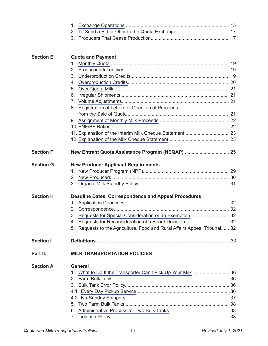|                  | 2 <sub>1</sub>                                                               |  |
|------------------|------------------------------------------------------------------------------|--|
|                  |                                                                              |  |
| <b>Section E</b> | <b>Quota and Payment</b>                                                     |  |
|                  | 1.                                                                           |  |
|                  | 2 <sub>1</sub>                                                               |  |
|                  | 3.                                                                           |  |
|                  | 4.                                                                           |  |
|                  | 5 <sub>1</sub>                                                               |  |
|                  | 6.                                                                           |  |
|                  |                                                                              |  |
|                  | Registration of Letters of Direction of Proceeds<br>8.                       |  |
|                  |                                                                              |  |
|                  |                                                                              |  |
|                  |                                                                              |  |
|                  |                                                                              |  |
|                  |                                                                              |  |
| <b>Section F</b> |                                                                              |  |
| <b>Section G</b> | <b>New Producer Applicant Requirements</b>                                   |  |
|                  | 1.                                                                           |  |
|                  | 2.                                                                           |  |
|                  |                                                                              |  |
| <b>Section H</b> | <b>Deadline Dates, Correspondence and Appeal Procedures</b>                  |  |
|                  |                                                                              |  |
|                  | 2.                                                                           |  |
|                  | 3. Requests for Special Consideration or an Exemption 32                     |  |
|                  |                                                                              |  |
|                  | Requests to the Agriculture, Food and Rural Affairs Appeal Tribunal 32<br>5. |  |
| Section I        |                                                                              |  |
| Part II:         | <b>MILK TRANSPORTATION POLICIES</b>                                          |  |
| <b>Section A</b> | <b>General</b>                                                               |  |
|                  |                                                                              |  |
|                  | 2 <sub>1</sub>                                                               |  |
|                  |                                                                              |  |
|                  |                                                                              |  |
|                  |                                                                              |  |
|                  | 5.                                                                           |  |
|                  | 6.                                                                           |  |
|                  | 7.                                                                           |  |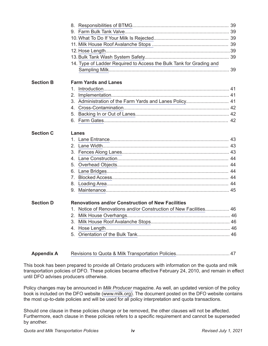|                  | 14. Type of Ladder Required to Access the Bulk Tank for Grading and  |  |
|------------------|----------------------------------------------------------------------|--|
|                  |                                                                      |  |
| <b>Section B</b> | <b>Farm Yards and Lanes</b>                                          |  |
|                  | 1.                                                                   |  |
|                  | 2.                                                                   |  |
|                  | 3. Administration of the Farm Yards and Lanes Policy 41              |  |
|                  |                                                                      |  |
|                  |                                                                      |  |
|                  |                                                                      |  |
| <b>Section C</b> | Lanes                                                                |  |
|                  |                                                                      |  |
|                  |                                                                      |  |
|                  |                                                                      |  |
|                  |                                                                      |  |
|                  |                                                                      |  |
|                  | 6.                                                                   |  |
|                  | $7^{\circ}$                                                          |  |
|                  | 8.                                                                   |  |
|                  | 9.                                                                   |  |
| <b>Section D</b> |                                                                      |  |
|                  | <b>Renovations and/or Construction of New Facilities</b>             |  |
|                  | Notice of Renovations and/or Construction of New Facilities 46<br>1. |  |
|                  | 2.                                                                   |  |
|                  | 3                                                                    |  |
|                  | 4.                                                                   |  |
|                  | 5.                                                                   |  |

### **Appendix A** [Revisions to Quota & Milk Transportation Policies](#page-51-0)........................................ 47

This book has been prepared to provide all Ontario producers with information on the quota and milk transportation policies of DFO. These policies became effective February 24, 2010, and remain in effect until DFO advises producers otherwise.

Policy changes may be announced in *[Milk Producer](https://www.milk.org/Corporate/view.aspx?content=aboutus/MilkProducerMagazine)* magazine. As well, an updated version of the policy book is included on the DFO website ([www.milk.org](http://www.milk.org)). The document posted on the DFO website contains the most up-to-date policies and will be used for all policy interpretation and quota transactions.

Should one clause in these policies change or be removed, the other clauses will not be affected. Furthermore, each clause in these policies refers to a specific requirement and cannot be superseded by another.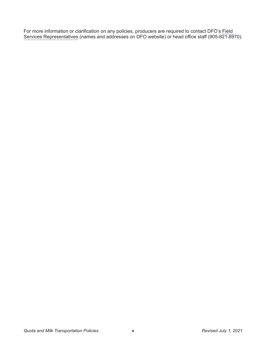For more information or clarification on any policies, producers are required to contact DFO's [Field](https://www.milk.org/corporate/view.aspx?content=ContactUs/ContactUs)  [Services Representatives](https://www.milk.org/corporate/view.aspx?content=ContactUs/ContactUs) (names and addresses on DFO website) or head office staff (905-821-8970).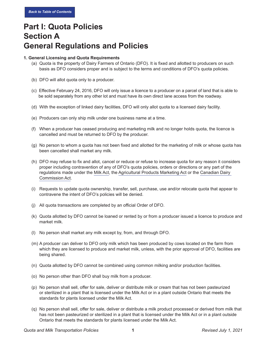# **Part I: Quota Policies Section A General Regulations and Policies**

#### <span id="page-5-0"></span>**1. General Licensing and Quota Requirements**

- (a) Quota is the property of Dairy Farmers of Ontario (DFO). It is fixed and allotted to producers on such basis as DFO considers proper and is subject to the terms and conditions of DFO's quota policies.
- (b) DFO will allot quota only to a producer.
- (c) Effective February 24, 2016, DFO will only issue a licence to a producer on a parcel of land that is able to be sold separately from any other lot and must have its own direct lane access from the roadway.
- (d) With the exception of linked dairy facilities, DFO will only allot quota to a licensed dairy facility.
- (e) Producers can only ship milk under one business name at a time.
- (f) When a producer has ceased producing and marketing milk and no longer holds quota, the licence is cancelled and must be returned to DFO by the producer.
- (g) No person to whom a quota has not been fixed and allotted for the marketing of milk or whose quota has been cancelled shall market any milk.
- (h) DFO may refuse to fix and allot, cancel or reduce or refuse to increase quota for any reason it considers proper including contravention of any of DFO's quota policies, orders or directions or any part of the regulations made under the [Milk Act,](https://www.milk.org/corporate/view.aspx?content=AboutUs/Regulations) the [Agricultural Products Marketing Act](http://laws-lois.justice.gc.ca/eng/acts/a-6/page-1.html) or the [Canadian Dairy](http://laws.justice.gc.ca/eng/acts/C-15/page-1.html)  [Commission Act.](http://laws.justice.gc.ca/eng/acts/C-15/page-1.html)
- (i) Requests to update quota ownership, transfer, sell, purchase, use and/or relocate quota that appear to contravene the intent of DFO's policies will be denied.
- (j) All quota transactions are completed by an official Order of DFO.
- (k) Quota allotted by DFO cannot be loaned or rented by or from a producer issued a licence to produce and market milk.
- (l) No person shall market any milk except by, from, and through DFO.
- (m) A producer can deliver to DFO only milk which has been produced by cows located on the farm from which they are licensed to produce and market milk, unless, with the prior approval of DFO, facilities are being shared.
- (n) Quota allotted by DFO cannot be combined using common milking and/or production facilities.
- (o) No person other than DFO shall buy milk from a producer.
- (p) No person shall sell, offer for sale, deliver or distribute milk or cream that has not been pasteurized or sterilized in a plant that is licensed under the Milk Act or in a plant outside Ontario that meets the standards for plants licensed under the Milk Act.
- (q) No person shall sell, offer for sale, deliver or distribute a milk product processed or derived from milk that has not been pasteurized or sterilized in a plant that is licensed under the Milk Act or in a plant outside Ontario that meets the standards for plants licensed under the Milk Act.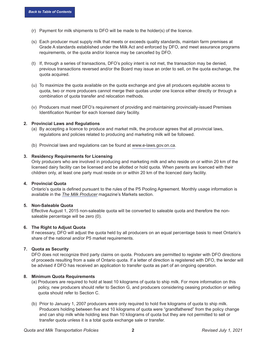- (r) Payment for milk shipments to DFO will be made to the holder(s) of the licence.
- (s) Each producer must supply milk that meets or exceeds quality standards, maintain farm premises at Grade A standards established under the Milk Act and enforced by DFO, and meet assurance programs requirements, or the quota and/or licence may be cancelled by DFO.
- (t) If, through a series of transactions, DFO's policy intent is not met, the transaction may be denied, previous transactions reversed and/or the Board may issue an order to sell, on the quota exchange, the quota acquired.
- (u) To maximize the quota available on the quota exchange and give all producers equitable access to quota, two or more producers cannot merge their quotas under one licence either directly or through a combination of quota transfer and relocation methods.
- (v) Producers must meet DFO's requirement of providing and maintaining provincially-issued Premises Identification Number for each licensed dairy facility.

#### <span id="page-6-0"></span>**2. Provincial Laws and Regulations**

- (a) By accepting a licence to produce and market milk, the producer agrees that all provincial laws, regulations and policies related to producing and marketing milk will be followed.
- (b) Provincial laws and regulations can be found at [www.e-laws.gov.on.ca.](http://www.e-laws.gov.on.ca)

#### <span id="page-6-1"></span>**3. Residency Requirements for Licensing**

Only producers who are involved in producing and marketing milk and who reside on or within 20 km of the licensed dairy facility can be licensed and be allotted or hold quota. When parents are licenced with their children only, at least one party must reside on or within 20 km of the licenced dairy facility.

#### <span id="page-6-2"></span>**4. Provincial Quota**

Ontario's quota is defined pursuant to the rules of the P5 Pooling Agreement. Monthly usage information is available in the *[The Milk Producer](https://www.milk.org/Corporate/view.aspx?content=aboutus/MilkProducerMagazine)* magazine's Markets section.

#### <span id="page-6-3"></span>**5. Non-Saleable Quota**

Effective August 1, 2015 non-saleable quota will be converted to saleable quota and therefore the nonsaleable percentage will be zero (0).

#### <span id="page-6-4"></span>**6. The Right to Adjust Quota**

If necessary, DFO will adjust the quota held by all producers on an equal percentage basis to meet Ontario's share of the national and/or P5 market requirements.

#### <span id="page-6-5"></span>**7. Quota as Security**

DFO does not recognize third party claims on quota. Producers are permitted to register with DFO directions of proceeds resulting from a sale of Ontario quota. If a letter of direction is registered with DFO, the lender will be advised if DFO has received an application to transfer quota as part of an ongoing operation.

#### <span id="page-6-6"></span>**8. Minimum Quota Requirements**

- (a) Producers are required to hold at least 10 kilograms of quota to ship milk. For more information on this policy, new producers should refer to Section G, and producers considering ceasing production or selling quota should refer to Section C.
- (b) Prior to January 1, 2007 producers were only required to hold five kilograms of quota to ship milk. Producers holding between five and 10 kilograms of quota were "grandfathered" from the policy change and can ship milk while holding less than 10 kilograms of quota but they are not permitted to sell or transfer quota unless it is a total quota exchange sale or transfer.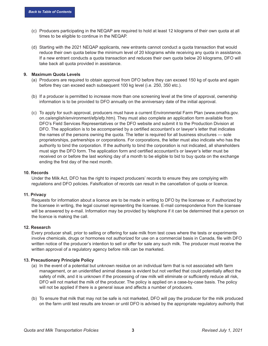- (c) Producers participating in the NEQAP are required to hold at least 12 kilograms of their own quota at all times to be eligible to continue in the NEQAP.
- (d) Starting with the 2021 NEQAP applicants, new entrants cannot conduct a quota transaction that would reduce their own quota below the minimum level of 20 kilograms while receiving any quota in assistance. If a new entrant conducts a quota transaction and reduces their own quota below 20 kilograms, DFO will take back all quota provided in assistance.

#### <span id="page-7-0"></span>**9. Maximum Quota Levels**

- (a) Producers are required to obtain approval from DFO before they can exceed 150 kg of quota and again before they can exceed each subsequent 100 kg level (i.e. 250, 350 etc.).
- (b) If a producer is permitted to increase more than one screening level at the time of approval, ownership information is to be provided to DFO annually on the anniversary date of the initial approval.
- (c) To apply for such approval, producers must have a current Environmental Farm Plan ([www.omafra.gov.](http://www.omafra.gov.on.ca/english/environment/efp/efp.htm) [on.ca/english/environment/efp/efp.htm\)](http://www.omafra.gov.on.ca/english/environment/efp/efp.htm). They must also complete an application form available from DFO's Field Services Representatives or the DFO website and submit it to the Production Division at DFO. The application is to be accompanied by a certified accountant's or lawyer's letter that indicates the names of the persons owning the quota. The letter is required for all business structures — sole proprietorships, partnerships or corporations. For corporations, the letter must also indicate who has the authority to bind the corporation. If the authority to bind the corporation is not indicated, all shareholders must sign the DFO form. The application form and certified accountant's or lawyer's letter must be received on or before the last working day of a month to be eligible to bid to buy quota on the exchange ending the first day of the next month.

#### <span id="page-7-1"></span>**10. Records**

Under the Milk Act, DFO has the right to inspect producers' records to ensure they are complying with regulations and DFO policies. Falsification of records can result in the cancellation of quota or licence.

#### <span id="page-7-2"></span>**11. Privacy**

Requests for information about a licence are to be made in writing to DFO by the licensee or, if authorized by the licensee in writing, the legal counsel representing the licensee. E-mail correspondence from the licensee will be answered by e-mail. Information may be provided by telephone if it can be determined that a person on the licence is making the call.

#### <span id="page-7-3"></span>**12. Research**

Every producer shall, prior to selling or offering for sale milk from test cows where the tests or experiments involve chemicals, drugs or hormones not authorized for use on a commercial basis in Canada, file with DFO written notice of the producer's intention to sell or offer for sale any such milk. The producer must receive the written approval of a regulatory agency before milk can be marketed.

#### <span id="page-7-4"></span>**13. Precautionary Principle Policy**

- (a) In the event of a potential but unknown residue on an individual farm that is not associated with farm management, or an unidentified animal disease is evident but not verified that could potentially affect the safety of milk, and it is unknown if the processing of raw milk will eliminate or sufficiently reduce all risk, DFO will not market the milk of the producer. The policy is applied on a case-by-case basis. The policy will not be applied if there is a general issue and affects a number of producers.
- (b) To ensure that milk that may not be safe is not marketed, DFO will pay the producer for the milk produced on the farm until test results are known or until DFO is advised by the appropriate regulatory authority that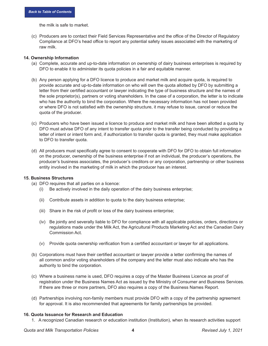the milk is safe to market.

(c) Producers are to contact their Field Services Representative and the office of the Director of Regulatory Compliance at DFO's head office to report any potential safety issues associated with the marketing of raw milk.

#### <span id="page-8-0"></span>**14. Ownership Information**

- (a) Complete, accurate and up-to-date information on ownership of dairy business enterprises is required by DFO to enable it to administer its quota policies in a fair and equitable manner.
- (b) Any person applying for a DFO licence to produce and market milk and acquire quota, is required to provide accurate and up-to-date information on who will own the quota allotted by DFO by submitting a letter from their certified accountant or lawyer indicating the type of business structure and the names of the sole proprietor(s), partners or voting shareholders. In the case of a corporation, the letter is to indicate who has the authority to bind the corporation. Where the necessary information has not been provided or where DFO is not satisfied with the ownership structure, it may refuse to issue, cancel or reduce the quota of the producer.
- (c) Producers who have been issued a licence to produce and market milk and have been allotted a quota by DFO must advise DFO of any intent to transfer quota prior to the transfer being conducted by providing a letter of intent or intent form and, if authorization to transfer quota is granted, they must make application to DFO to transfer quota.
- (d) All producers must specifically agree to consent to cooperate with DFO for DFO to obtain full information on the producer, ownership of the business enterprise if not an individual, the producer's operations, the producer's business associates, the producer's creditors or any corporation, partnership or other business entity involved in the marketing of milk in which the producer has an interest.

#### <span id="page-8-1"></span>**15. Business Structures**

- (a) DFO requires that all parties on a licence:
	- (i) Be actively involved in the daily operation of the dairy business enterprise;
	- (ii) Contribute assets in addition to quota to the dairy business enterprise;
	- (iii) Share in the risk of profit or loss of the dairy business enterprise;
	- (iv) Be jointly and severally liable to DFO for compliance with all applicable policies, orders, directions or regulations made under the Milk Act, the Agricultural Products Marketing Act and the Canadian Dairy Commission Act.
	- (v) Provide quota ownership verification from a certified accountant or lawyer for all applications.
- (b) Corporations must have their certified accountant or lawyer provide a letter confirming the names of all common and/or voting shareholders of the company and the letter must also indicate who has the authority to bind the corporation.
- (c) Where a business name is used, DFO requires a copy of the Master Business Licence as proof of registration under the Business Names Act as issued by the Ministry of Consumer and Business Services. If there are three or more partners, DFO also requires a copy of the Business Names Report.
- (d) Partnerships involving non-family members must provide DFO with a copy of the partnership agreement for approval. It is also recommended that agreements for family partnerships be provided.

#### <span id="page-8-2"></span>**16. Quota Issuance for Research and Education**

1. A recognized Canadian research or education institution (Institution), when its research activities support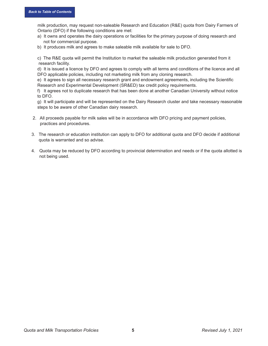milk production, may request non-saleable Research and Education (R&E) quota from Dairy Farmers of Ontario (DFO) if the following conditions are met:

- a) It owns and operates the dairy operations or facilities for the primary purpose of doing research and not for commercial purpose.
- b) It produces milk and agrees to make saleable milk available for sale to DFO.

c) The R&E quota will permit the Institution to market the saleable milk production generated from it research facility.

d) It is issued a licence by DFO and agrees to comply with all terms and conditions of the licence and all DFO applicable policies, including not marketing milk from any cloning research.

e) It agrees to sign all necessary research grant and endowment agreements, including the Scientific Research and Experimental Development (SR&ED) tax credit policy requirements.

f) It agrees not to duplicate research that has been done at another Canadian University without notice to DFO.

g) It will participate and will be represented on the Dairy Research cluster and take necessary reasonable steps to be aware of other Canadian dairy research.

- 2. All proceeds payable for milk sales will be in accordance with DFO pricing and payment policies, practices and procedures.
- 3. The research or education institution can apply to DFO for additional quota and DFO decide if additional quota is warranted and so advise.
- 4. Quota may be reduced by DFO according to provincial determination and needs or if the quota allotted is not being used.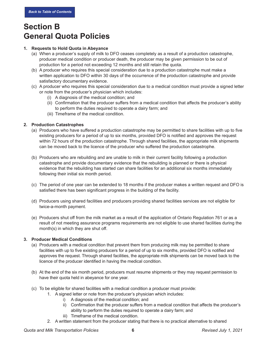### **Section B General Quota Policies**

#### <span id="page-10-0"></span>**1. Requests to Hold Quota in Abeyance**

- (a) When a producer's supply of milk to DFO ceases completely as a result of a production catastrophe, producer medical condition or producer death, the producer may be given permission to be out of production for a period not exceeding 12 months and still retain the quota.
- (b) A producer who requires this special consideration due to a production catastrophe must make a written application to DFO within 30 days of the occurrence of the production catastrophe and provide satisfactory documentary evidence.
- (c) A producer who requires this special consideration due to a medical condition must provide a signed letter or note from the producer's physician which includes:
	- (i) A diagnosis of the medical condition; and
	- (ii) Confirmation that the producer suffers from a medical condition that affects the producer's ability to perform the duties required to operate a dairy farm; and
	- (iii) Timeframe of the medical condition.

#### <span id="page-10-1"></span>**2. Production Catastrophes**

- (a) Producers who have suffered a production catastrophe may be permitted to share facilities with up to five existing producers for a period of up to six months, provided DFO is notified and approves the request within 72 hours of the production catastrophe. Through shared facilities, the appropriate milk shipments can be moved back to the licence of the producer who suffered the production catastrophe.
- (b) Producers who are rebuilding and are unable to milk in their current facility following a production catastrophe and provide documentary evidence that the rebuilding is planned or there is physical evidence that the rebuilding has started can share facilities for an additional six months immediately following their initial six month period.
- (c) The period of one year can be extended to 18 months if the producer makes a written request and DFO is satisfied there has been significant progress in the building of the facility.
- (d) Producers using shared facilities and producers providing shared facilities services are not eligible for twice-a-month payment.
- (e) Producers shut off from the milk market as a result of the application of Ontario Regulation 761 or as a result of not meeting assurance programs requirements are not eligible to use shared facilities during the month(s) in which they are shut off.

#### <span id="page-10-2"></span>**3. Producer Medical Conditions**

- (a) Producers with a medical condition that prevent them from producing milk may be permitted to share facilities with up to five existing producers for a period of up to six months, provided DFO is notified and approves the request. Through shared facilities, the appropriate milk shipments can be moved back to the licence of the producer identified in having the medical condition.
- (b) At the end of the six month period, producers must resume shipments or they may request permission to have their quota held in abeyance for one year.
- (c) To be eligible for shared facilities with a medical condition a producer must provide:
	- 1. A signed letter or note from the producer's physician which includes:
		- i) A diagnosis of the medical condition; and
		- ii) Confirmation that the producer suffers from a medical condition that affects the producer's ability to perform the duties required to operate a dairy farm; and
		- iii) Timeframe of the medical condition.
	- 2. A written statement from the producer stating that there is no practical alternative to shared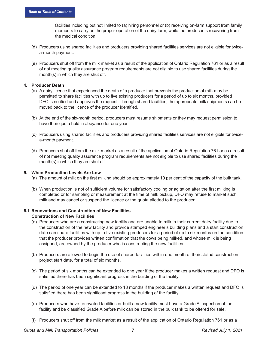facilities including but not limited to (a) hiring personnel or (b) receiving on-farm support from family members to carry on the proper operation of the dairy farm, while the producer is recovering from the medical condition.

- (d) Producers using shared facilities and producers providing shared facilities services are not eligible for twicea-month payment.
- (e) Producers shut off from the milk market as a result of the application of Ontario Regulation 761 or as a result of not meeting quality assurance program requirements are not eligible to use shared facilities during the month(s) in which they are shut off.

#### <span id="page-11-0"></span>**4. Producer Death**

- (a) A dairy licence that experienced the death of a producer that prevents the production of milk may be permitted to share facilities with up to five existing producers for a period of up to six months, provided DFO is notified and approves the request. Through shared facilities, the appropriate milk shipments can be moved back to the licence of the producer identified.
- (b) At the end of the six-month period, producers must resume shipments or they may request permission to have their quota held in abeyance for one year.
- (c) Producers using shared facilities and producers providing shared facilities services are not eligible for twicea-month payment.
- (d) Producers shut off from the milk market as a result of the application of Ontario Regulation 761 or as a result of not meeting quality assurance program requirements are not eligible to use shared facilities during the month(s) in which they are shut off.

#### **5. When Production Levels Are Low**

- (a) The amount of milk on the first milking should be approximately 10 per cent of the capacity of the bulk tank.
- (b) When production is not of sufficient volume for satisfactory cooling or agitation after the first milking is completed or for sampling or measurement at the time of milk pickup, DFO may refuse to market such milk and may cancel or suspend the licence or the quota allotted to the producer.

#### <span id="page-11-1"></span>**6.1 Renovations and Construction of New Facilities Construction of New Facilities**

- (a) Producers who are a constructing new facility and are unable to milk in their current dairy facility due to the construction of the new facility and provide stamped engineer's building plans and a start construction date can share facilities with up to five existing producers for a period of up to six months on the condition that the producer provides written confirmation that the cows being milked, and whose milk is being assigned, are owned by the producer who is constructing the new facilities.
- (b) Producers are allowed to begin the use of shared facilities within one month of their stated construction project start date, for a total of six months.
- (c) The period of six months can be extended to one year if the producer makes a written request and DFO is satisfied there has been significant progress in the building of the facility.
- (d) The period of one year can be extended to 18 months if the producer makes a written request and DFO is satisfied there has been significant progress in the building of the facility.
- (e) Producers who have renovated facilities or built a new facility must have a Grade A inspection of the facility and be classified Grade A before milk can be stored in the bulk tank to be offered for sale.
- (f) Producers shut off from the milk market as a result of the application of Ontario Regulation 761 or as a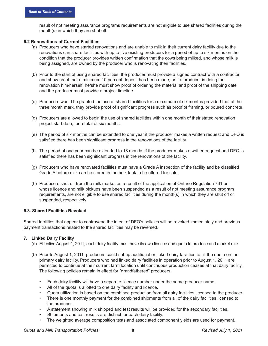result of not meeting assurance programs requirements are not eligible to use shared facilities during the month(s) in which they are shut off.

#### **6.2 Renovations of Current Facilities**

- (a) Producers who have started renovations and are unable to milk in their current dairy facility due to the renovations can share facilities with up to five existing producers for a period of up to six months on the condition that the producer provides written confirmation that the cows being milked, and whose milk is being assigned, are owned by the producer who is renovating their facilities.
- (b) Prior to the start of using shared facilities, the producer must provide a signed contract with a contractor, and show proof that a minimum 10 percent deposit has been made, or if a producer is doing the renovation him/herself, he/she must show proof of ordering the material and proof of the shipping date and the producer must provide a project timeline.
- (c) Producers would be granted the use of shared facilities for a maximum of six months provided that at the three month mark, they provide proof of significant progress such as proof of framing, or poured concrete.
- (d) Producers are allowed to begin the use of shared facilities within one month of their stated renovation project start date, for a total of six months.
- (e) The period of six months can be extended to one year if the producer makes a written request and DFO is satisfied there has been significant progress in the renovations of the facility.
- (f) The period of one year can be extended to 18 months if the producer makes a written request and DFO is satisfied there has been significant progress in the renovations of the facility.
- (g) Producers who have renovated facilities must have a Grade A inspection of the facility and be classified Grade A before milk can be stored in the bulk tank to be offered for sale.
- (h) Producers shut off from the milk market as a result of the application of Ontario Regulation 761 or whose licence and milk pickups have been suspended as a result of not meeting assurance program requirements, are not eligible to use shared facilities during the month(s) in which they are shut off or suspended, respectively.

#### **6.3. Shared Facilities Revoked**

Shared facilities that appear to contravene the intent of DFO's policies will be revoked immediately and previous payment transactions related to the shared facilities may be reversed.

#### <span id="page-12-0"></span>**7. Linked Dairy Facility**

- (a) Effective August 1, 2011, each dairy facility must have its own licence and quota to produce and market milk.
- (b) Prior to August 1, 2011, producers could set up additional or linked dairy facilities to fill the quota on the primary dairy facility. Producers who had linked dairy facilities in operation prior to August 1, 2011 are permitted to continue at their current farm location until continuous production ceases at that dairy facility. The following policies remain in effect for "grandfathered" producers.
	- Each dairy facility will have a separate licence number under the same producer name.
	- All of the quota is allotted to one dairy facility and licence.
	- Quota utilization is based on the combined production from all dairy facilities licensed to the producer.
	- There is one monthly payment for the combined shipments from all of the dairy facilities licensed to the producer.
	- A statement showing milk shipped and test results will be provided for the secondary facilities.
	- Shipments and test results are distinct for each dairy facility.
	- The weighted average composition tests and associated component yields are used for payment.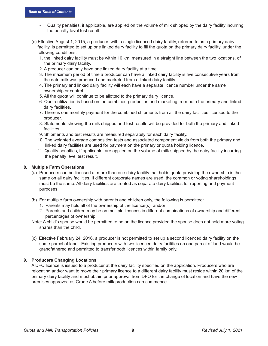- Quality penalties, if applicable, are applied on the volume of milk shipped by the dairy facility incurring the penalty level test result.
- (c) Effective August 1, 2015, a producer with a single licenced dairy facility, referred to as a primary dairy facility, is permitted to set up one linked dairy facility to fill the quota on the primary dairy facility, under the following conditions:
	- 1. the linked dairy facility must be within 10 km, measured in a straight line between the two locations, of the primary dairy facility.
	- 2. A producer can only have one linked dairy facility at a time.
	- 3. The maximum period of time a producer can have a linked dairy facility is five consecutive years from the date milk was produced and marketed from a linked dairy facility.
	- 4. The primary and linked dairy facility will each have a separate licence number under the same ownership or control.
	- 5. All the quota will continue to be allotted to the primary dairy licence.
	- 6. Quota utilization is based on the combined production and marketing from both the primary and linked dairy facilities.
	- 7. There is one monthly payment for the combined shipments from all the dairy facilities licensed to the producer.
	- 8. Statements showing the milk shipped and test results will be provided for both the primary and linked facilities.
	- 9. Shipments and test results are measured separately for each dairy facility.
	- 10. The weighted average composition tests and associated component yields from both the primary and linked dairy facilities are used for payment on the primary or quota holding licence.
	- 11. Quality penalties, if applicable, are applied on the volume of milk shipped by the dairy facility incurring the penalty level test result.

#### <span id="page-13-0"></span>**8. Multiple Farm Operations**

- (a) Producers can be licensed at more than one dairy facility that holds quota providing the ownership is the same on all dairy facilities. If different corporate names are used, the common or voting shareholdings must be the same. All dairy facilities are treated as separate dairy facilities for reporting and payment purposes.
- (b) For multiple farm ownership with parents and children only, the following is permitted:
	- 1. Parents may hold all of the ownership of the licence(s); and/or
	- 2. Parents and children may be on multiple licences in different combinations of ownership and different percentages of ownership.
- Note: A child's spouse would be permitted to be on the licence provided the spouse does not hold more voting shares than the child.
- (c) Effective February 24, 2016, a producer is not permitted to set up a second licenced dairy facility on the same parcel of land. Existing producers with two licenced dairy facilities on one parcel of land would be grandfathered and permitted to transfer both licences within family only.

#### <span id="page-13-1"></span>**9. Producers Changing Locations**

A DFO licence is issued to a producer at the dairy facility specified on the application. Producers who are relocating and/or want to move their primary licence to a different dairy facility must reside within 20 km of the primary dairy facility and must obtain prior approval from DFO for the change of location and have the new premises approved as Grade A before milk production can commence.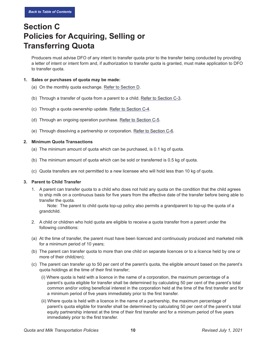# <span id="page-14-0"></span>**Section C Policies for Acquiring, Selling or Transferring Quota**

Producers must advise DFO of any intent to transfer quota prior to the transfer being conducted by providing a letter of intent or intent form and, if authorization to transfer quota is granted, must make application to DFO to transfer quota.

#### <span id="page-14-1"></span>**1. Sales or purchases of quota may be made:**

- (a) On the monthly quota exchange. Refer to Section D.
- (b) Through a transfer of quota from a parent to a child. [Refer to Section C-3](#page-14-3).
- (c) Through a quota ownership update. [Refer to Section C-4](#page-15-0).
- (d) Through an ongoing operation purchase. [Refer to Section C-5](#page-15-1).
- (e) Through dissolving a partnership or corporation. [Refer to Section C-6.](#page-17-0)

#### <span id="page-14-2"></span>**2. Minimum Quota Transactions**

- (a) The minimum amount of quota which can be purchased, is 0.1 kg of quota.
- (b) The minimum amount of quota which can be sold or transferred is 0.5 kg of quota.
- (c) Quota transfers are not permitted to a new licensee who will hold less than 10 kg of quota.

#### <span id="page-14-3"></span>**3. Parent to Child Transfer**

1. A parent can transfer quota to a child who does not hold any quota on the condition that the child agrees to ship milk on a continuous basis for five years from the effective date of the transfer before being able to transfer the quota.

Note: The parent to child quota top-up policy also permits a grandparent to top-up the quota of a grandchild.

- 2. A child or children who hold quota are eligible to receive a quota transfer from a parent under the following conditions:
- (a) At the time of transfer, the parent must have been licenced and continuously produced and marketed milk for a minimum period of 10 years;
- (b) The parent can transfer quota to more than one child on separate licences or to a licence held by one or more of their child(ren);
- (c) The parent can transfer up to 50 per cent of the parent's quota, the eligible amount based on the parent's quota holdings at the time of their first transfer;
	- (i) Where quota is held with a licence in the name of a corporation, the maximum percentage of a parent's quota eligible for transfer shall be determined by calculating 50 per cent of the parent's total common and/or voting beneficial interest in the corporation held at the time of the first transfer and for a minimum period of five years immediately prior to the first transfer.
	- (ii) Where quota is held with a licence in the name of a partnership, the maximum percentage of parent's quota eligible for transfer shall be determined by calculating 50 per cent of the parent's total equity partnership interest at the time of their first transfer and for a minimum period of five years immediately prior to the first transfer.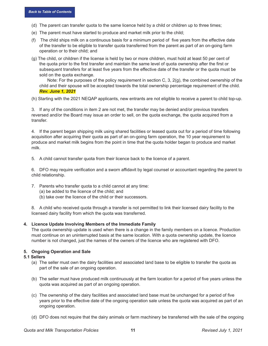- (d) The parent can transfer quota to the same licence held by a child or children up to three times;
- (e) The parent must have started to produce and market milk prior to the child;
- (f) The child ships milk on a continuous basis for a minimum period of five years from the effective date of the transfer to be eligible to transfer quota transferred from the parent as part of an on-going farm operation or to their child; and
- (g) The child, or children if the license is held by two or more children, must hold at least 50 per cent of the quota prior to the first transfer and maintain the same level of quota ownership after the first or subsequent transfers for at least five years from the effective date of the transfer or the quota must be sold on the quota exchange.

Note: For the purposes of the policy requirement in section C, 3, 2(g), the combined ownership of the child and their spouse will be accepted towards the total ownership percentage requirement of the child. *Rev. June 1, 2021*

(h) Starting with the 2021 NEQAP applicants, new entrants are not eligible to receive a parent to child top-up.

3. If any of the conditions in item 2 are not met, the transfer may be denied and/or previous transfers reversed and/or the Board may issue an order to sell, on the quota exchange, the quota acquired from a transfer.

4. If the parent began shipping milk using shared facilities or leased quota out for a period of time following acquisition after acquiring their quota as part of an on-going farm operation, the 10 year requirement to produce and market milk begins from the point in time that the quota holder began to produce and market milk.

5. A child cannot transfer quota from their licence back to the licence of a parent.

6. DFO may require verification and a sworn affidavit by legal counsel or accountant regarding the parent to child relationship.

- 7. Parents who transfer quota to a child cannot at any time:
	- (a) be added to the licence of the child; and
	- (b) take over the licence of the child or their successors.

8. A child who received quota through a transfer is not permitted to link their licensed dairy facility to the licensed dairy facility from which the quota was transferred.

#### <span id="page-15-0"></span>**4. Licence Update Involving Members of the Immediate Family**

The quota ownership update is used when there is a change in the family members on a licence. Production must continue on an uninterrupted basis at the same location. With a quota ownership update, the licence number is not changed, just the names of the owners of the licence who are registered with DFO.

#### <span id="page-15-1"></span>**5. Ongoing Operation and Sale**

#### **5.1 Sellers**

- (a) The seller must own the dairy facilities and associated land base to be eligible to transfer the quota as part of the sale of an ongoing operation.
- (b) The seller must have produced milk continuously at the farm location for a period of five years unless the quota was acquired as part of an ongoing operation.
- (c) The ownership of the dairy facilities and associated land base must be unchanged for a period of five years prior to the effective date of the ongoing operation sale unless the quota was acquired as part of an ongoing operation.
- (d) DFO does not require that the dairy animals or farm machinery be transferred with the sale of the ongoing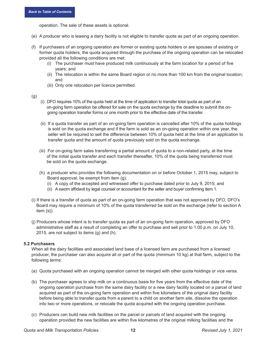operation. The sale of these assets is optional.

- (e) A producer who is leasing a dairy facility is not eligible to transfer quota as part of an ongoing operation.
- (f) If purchasers of an ongoing operation are former or existing quota holders or are spouses of existing or former quota holders, the quota acquired through the purchase of the ongoing operation can be relocated provided all the following conditions are met:
	- (i) The purchaser must have produced milk continuously at the farm location for a period of five years; and
	- (ii) The relocation is within the same Board region or no more than 100 km from the original location; and
	- (iii) Only one relocation per licence permitted.

(g)

- (i) DFO requires 10% of the quota held at the time of application to transfer total quota as part of an on-going farm operation be offered for sale on the quota exchange by the deadline to submit the on going operation transfer forms or one month prior to the effective date of the transfer.
- (ii) If a quota transfer as part of an on-going farm operation is cancelled after 10% of the quota holdings is sold on the quota exchange and if the farm is sold as an on-going operation within one year, the seller will be required to sell the difference between 10% of quota held at the time of an application to transfer quota and the amount of quota previously sold on the quota exchange.
- (iii) For on-going farm sales transferring a partial amount of quota to a non-related party, at the time of the initial quota transfer and each transfer thereafter, 10% of the quota being transferred must be sold on the quota exchange.
- (h) a producer who provides the following documentation on or before October 1, 2015 may, subject to Board approval, be exempt from item (g):
	- (i) A copy of the accepted and witnessed offer to purchase dated prior to July 9, 2015; and
	- (ii) A sworn affidavit by legal counsel or accountant for the seller and buyer confirming item 1.
- (i) If there is a transfer of quota as part of an on-going farm operation that was not approved by DFO, DFO's Board may require a minimum of 10% of the quota transferred be sold on the exchange (refer to section A item {s}).
- (j) Producers whose intent is to transfer quota as part of an on-going farm operation, approved by DFO administrative staff as a result of completing an offer to purchase and sell prior to 1:00 p.m. on July 10, 2015, are not subject to items (g) and (h).

#### **5.2 Purchasers**

When all the dairy facilities and associated land base of a licensed farm are purchased from a licensed producer, the purchaser can also acquire all or part of the quota (minimum 10 kg) at that farm, subject to the following terms:

- (a) Quota purchased with an ongoing operation cannot be merged with other quota holdings or vice versa.
- (b) The purchaser agrees to ship milk on a continuous basis for five years from the effective date of the ongoing operation purchase from the same dairy facility or a new dairy facility located on a parcel of land acquired as part of the on-going farm operation and within five kilometers of the original dairy facility before being able to transfer quota from a parent to a child on another farm site, dissolve the operation into two or more operations, or relocate the quota acquired with the ongoing operation purchase.
- (c) Producers can build new milk facilities on the parcel or parcels of land acquired with the ongoing operation provided the new facilities are within five kilometres of the original milking facilities and the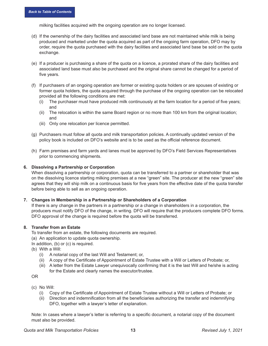milking facilities acquired with the ongoing operation are no longer licensed.

- (d) If the ownership of the dairy facilities and associated land base are not maintained while milk is being produced and marketed under the quota acquired as part of the ongoing farm operation, DFO may by order, require the quota purchased with the dairy facilities and associated land base be sold on the quota exchange.
- (e) If a producer is purchasing a share of the quota on a licence, a prorated share of the dairy facilities and associated land base must also be purchased and the original share cannot be changed for a period of five years.
- (f) If purchasers of an ongoing operation are former or existing quota holders or are spouses of existing or former quota holders, the quota acquired through the purchase of the ongoing operation can be relocated provided all the following conditions are met:
	- (i) The purchaser must have produced milk continuously at the farm location for a period of five years; and
	- (ii) The relocation is within the same Board region or no more than 100 km from the original location; and
	- (iii) Only one relocation per licence permitted.
- (g) Purchasers must follow all quota and milk transportation policies. A continually updated version of the policy book is included on DFO's website and is to be used as the official reference document.
- (h) Farm premises and farm yards and lanes must be approved by DFO's Field Services Representatives prior to commencing shipments.

#### <span id="page-17-0"></span>**6. Dissolving a Partnership or Corporation**

When dissolving a partnership or corporation, quota can be transferred to a partner or shareholder that was on the dissolving licence starting milking premises at a new "green" site. The producer at the new "green" site agrees that they will ship milk on a continuous basis for five years from the effective date of the quota transfer before being able to sell as an ongoing operation.

#### <span id="page-17-1"></span>**7. Changes in Membership in a Partnership or Shareholders of a Corporation**

If there is any change in the partners in a partnership or a change in shareholders in a corporation, the producers must notify DFO of the change, in writing. DFO will require that the producers complete DFO forms. DFO approval of the change is required before the quota will be transferred.

#### <span id="page-17-2"></span>**8. Transfer from an Estate**

To transfer from an estate, the following documents are required.

- (a) An application to update quota ownership.
- In addition, (b) or (c) is required.
- (b) With a Will:
	- (i) A notarial copy of the last Will and Testament; or,
	- (ii) A copy of the Certificate of Appointment of Estate Trustee with a Will or Letters of Probate; or,
	- (iii) A letter from the Estate Lawyer unequivocally confirming that it is the last Will and he/she is acting for the Estate and clearly names the executor/trustee.

OR

- (c) No Will:
	- (i) Copy of the Certificate of Appointment of Estate Trustee without a Will or Letters of Probate; or
	- (ii) Direction and indemnification from all the beneficiaries authorizing the transfer and indemnifying DFO, together with a lawyer's letter of explanation.

Note: In cases where a lawyer's letter is referring to a specific document, a notarial copy of the document must also be provided.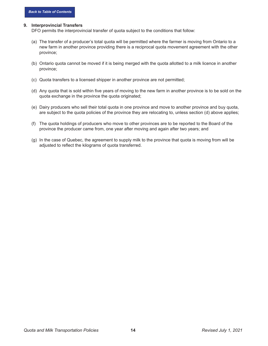#### <span id="page-18-0"></span>**9. Interprovincial Transfers**

DFO permits the interprovincial transfer of quota subject to the conditions that follow:

- (a) The transfer of a producer's total quota will be permitted where the farmer is moving from Ontario to a new farm in another province providing there is a reciprocal quota movement agreement with the other province;
- (b) Ontario quota cannot be moved if it is being merged with the quota allotted to a milk licence in another province;
- (c) Quota transfers to a licensed shipper in another province are not permitted;
- (d) Any quota that is sold within five years of moving to the new farm in another province is to be sold on the quota exchange in the province the quota originated;
- (e) Dairy producers who sell their total quota in one province and move to another province and buy quota, are subject to the quota policies of the province they are relocating to, unless section (d) above applies;
- (f) The quota holdings of producers who move to other provinces are to be reported to the Board of the province the producer came from, one year after moving and again after two years; and
- (g) In the case of Quebec, the agreement to supply milk to the province that quota is moving from will be adjusted to reflect the kilograms of quota transferred.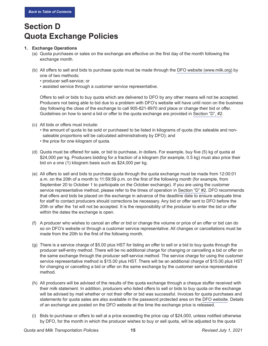# **Section D Quota Exchange Policies**

#### <span id="page-19-0"></span>**1. Exchange Operations**

- (a) Quota purchases or sales on the exchange are effective on the first day of the month following the exchange month.
- (b) All offers to sell and bids to purchase quota must be made through the [DFO website](www.milk.org) (www.milk.org) by one of two methods:
	- producer self-service; or
	- assisted service through a customer service representative.

Offers to sell or bids to buy quota which are delivered to DFO by any other means will not be accepted. Producers not being able to bid due to a problem with DFO's website will have until noon on the business day following the close of the exchange to call 905-821-8970 and place or change their bid or offer. Guidelines on how to send a bid or offer to the quota exchange are provided in [Section "D", #2](#page-21-0).

- (c) All bids or offers must include:
	- the amount of quota to be sold or purchased to be listed in kilograms of quota (the saleable and nonsaleable proportions will be calculated administratively by DFO); and
	- the price for one kilogram of quota.
- (d) Quota must be offered for sale, or bid to purchase, in dollars. For example, buy five (5) kg of quota at \$24,000 per kg. Producers bidding for a fraction of a kilogram (for example, 0.5 kg) must also price their bid on a one (1) kilogram basis such as \$24,000 per kg.
- (e) All offers to sell and bids to purchase quota through the quota exchange must be made from 12:00:01 a.m. on the 20th of a month to 11:59:59 p.m. on the first of the following month (for example, from September 20 to October 1 to participate on the October exchange). If you are using the customer service representative method, please refer to the times of operation in [Section "D" #2](#page-21-0). DFO recommends that offers and bids be placed on the exchange in advance of the deadline date to ensure adequate time for staff to contact producers should corrections be necessary. Any bid or offer sent to DFO before the 20th or after the 1st will not be accepted. It is the responsibility of the producer to enter the bid or offer within the dates the exchange is open.
- (f) A producer who wishes to cancel an offer or bid or change the volume or price of an offer or bid can do so on DFO's website or through a customer service representative. All changes or cancellations must be made from the 20th to the first of the following month.
- (g) There is a service charge of \$5.00 plus HST for listing an offer to sell or a bid to buy quota through the producer self-entry method. There will be no additional charge for changing or cancelling a bid or offer on the same exchange through the producer self-service method. The service charge for using the customer service representative method is \$15.00 plus HST. There will be an additional charge of \$15.00 plus HST for changing or cancelling a bid or offer on the same exchange by the customer service representative method.
- (h) All producers will be advised of the results of the quota exchange through a cheque stuffer received with their milk statement. In addition, producers who listed offers to sell or bids to buy quota on the exchange will be advised by mail whether or not their offer or bid was successful. Invoices for quota purchases and statements for quota sales are also available in the password protected area on the [DFO website](www.milk.org). Details of an exchange are posted on the DFO website at the time the exchange price is released.
- (i) Bids to purchase or offers to sell at a price exceeding the price cap of \$24,000, unless notified otherwise by DFO, for the month in which the producer wishes to buy or sell quota, will be adjusted to the quota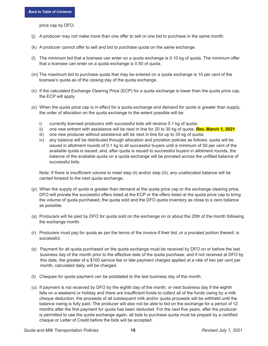price cap by DFO.

- (j) A producer may not make more than one offer to sell or one bid to purchase in the same month.
- (k) A producer cannot offer to sell and bid to purchase quota on the same exchange.
- (l) The minimum bid that a licensee can enter on a quota exchange is 0.10 kg of quota. The minimum offer that a licensee can enter on a quota exchange is 0.50 of quota.
- (m) The maximum bid to purchase quota that may be entered on a quota exchange is 10 per cent of the licensee's quota as of the closing day of the quota exchange.
- (n) If the calculated Exchange Clearing Price (ECP) for a quota exchange is lower than the quota price cap, the ECP will apply.
- (o) When the quota price cap is in effect for a quota exchange and demand for quota is greater than supply, the order of allocation on the quota exchange to the extent possible will be:
	- i) currently licensed producers with successful bids will receive 0.1 kg of quota;
	- ii) one new entrant with assistance will be next in line for 20 to 30 kg of quota; *Rev. March 1, 2021*
	- iii) one new producer without assistance will be next in line for up to 35 kg of quota;
	- iv) any balance will be distributed through allocation and proration policies as follows: quota will be issued in allotment rounds of 0.1 kg to all successful buyers until a minimum of 50 per cent of the available quota is issued; and, after quota is issued to successful buyers in allotment rounds, the balance of the available quota on a quota exchange will be prorated across the unfilled balance of successful bids.

Note: If there is insufficient volume to meet step (ii) and/or step (iii), any unallocated balance will be carried forward to the next quota exchange.

- (p) When the supply of quota is greater than demand at the quota price cap or the exchange clearing price, DFO will prorate the successful offers listed at the ECP or the offers listed at the quota price cap to bring the volume of quota purchased, the quota sold and the DFO quota inventory as close to a zero balance as possible.
- (q) Producers will be paid by DFO for quota sold on the exchange on or about the 20th of the month following the exchange month.
- (r) Producers must pay for quota as per the terms of the invoice if their bid, or a prorated portion thereof, is successful.
- (s) Payment for all quota purchased on the quota exchange must be received by DFO on or before the last business day of the month prior to the effective date of the quota purchase; and if not received at DFO by this date, the greater of a \$100 service fee or late payment charges applied at a rate of two per cent per month, calculated daily, will be charged.
- (t) Cheques for quota payment can be postdated to the last business day of the month.
- (u) If payment is not received by DFO by the eighth day of the month, or next business day if the eighth falls on a weekend or holiday and there are insufficient funds to collect all of the funds owing by a milk cheque deduction, the proceeds of all subsequent milk and/or quota proceeds will be withheld until the balance owing is fully paid. The producer will also not be able to bid on the exchange for a period of 12 months after the first payment for quota has been deducted. For the next five years, after the producer is permitted to use the quota exchange again, all bids to purchase quota must be prepaid by a certified cheque or Letter of Credit before the bids will be accepted.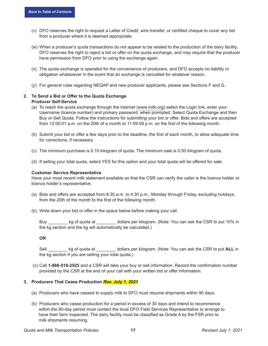- (v) DFO reserves the right to request a Letter of Credit, wire transfer, or certified cheque to cover any bid from a producer where it is deemed appropriate.
- (w) When a producer's quota transactions do not appear to be related to the production of the dairy facility, DFO reserves the right to reject a bid or offer on the quota exchange, and may require that the producer have permission from DFO prior to using the exchange again.
- (x) The quota exchange is operated for the convenience of producers, and DFO accepts no liability or obligation whatsoever in the event that an exchange is cancelled for whatever reason.
- (y) For general rules regarding NEQAP and new producer applicants, please see Sections F and G.

#### <span id="page-21-0"></span>**2. To Send a Bid or Offer to the Quota Exchange Producer Self-Service**

- (a) To reach the quota exchange through the Internet [\(www.milk.org](http://www.milk.org)) select the Login link, enter your Username (licence number) and primary password, when prompted. Select Quota Exchange and then Buy or Sell Quota. Follow the instructions for submitting your bid or offer. Bids and offers are accepted from 12:00:01 a.m. on the 20th of a month to 11:59:59 p.m. on the first of the following month.
- (b) Submit your bid or offer a few days prior to the deadline, the first of each month, to allow adequate time for corrections, if necessary.
- (c) The minimum purchase is 0.10 kilogram of quota. The minimum sale is 0.50 kilogram of quota.
- (d) If selling your total quota, select YES for this option and your total quota will be offered for sale.

#### **Customer Service Representative**

Have your most recent milk statement available so that the CSR can verify the caller is the licence holder or licence holder's representative.

- (a) Bids and offers are accepted from 8:30 a.m. to 4:30 p.m., Monday through Friday, excluding holidays, from the 20th of the month to the first of the following month.
- (b) Write down your bid or offer in the space below before making your call.

Buy buy also kg of quota at and dollars per kilogram. (Note: You can ask the CSR to put 10% in the kg section and the kg will automatically be calculated.)

**OR**

Sell \_\_\_\_\_\_\_\_ kg of quota at \_\_\_\_\_\_\_\_ dollars per kilogram. (Note: You can ask the CSR to put **ALL** in the kg section if you are selling your total quota.)

 (c) Call **1-866-518-2525** and a CSR will take your buy or sell information. Record the confirmation number provided by the CSR at the end of your call with your written bid or offer information.

#### **3. Producers That Cease Production** *Rev. July 1, 2021*

- (a) Producers who have ceased to supply milk to DFO must resume shipments within 90 days.
- (b) Producers who cease production for a period in excess of 30 days and intend to recommence within the 90-day period must contact the local DFO Field Services Representative to arrange to have their farm inspected. The dairy facility must be classified as Grade A by the FSR prior to milk shipments resuming.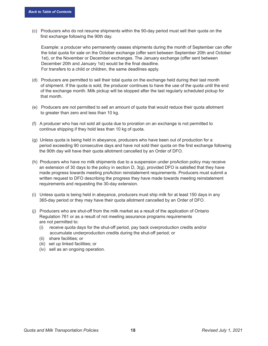(c) Producers who do not resume shipments within the 90-day period must sell their quota on the first exchange following the 90th day.

 Example: a producer who permanently ceases shipments during the month of September can offer the total quota for sale on the October exchange (offer sent between September 20th and October 1st), or the November or December exchanges. The January exchange (offer sent between December 20th and January 1st) would be the final deadline. For transfers to a child or children, the same deadlines apply.

- (d) Producers are permitted to sell their total quota on the exchange held during their last month of shipment. If the quota is sold, the producer continues to have the use of the quota until the end of the exchange month. Milk pickup will be stopped after the last regularly scheduled pickup for that month.
- (e) Producers are not permitted to sell an amount of quota that would reduce their quota allotment to greater than zero and less than 10 kg.
- (f) A producer who has not sold all quota due to proration on an exchange is not permitted to continue shipping if they hold less than 10 kg of quota.
- (g) Unless quota is being held in abeyance, producers who have been out of production for a period exceeding 90 consecutive days and have not sold their quota on the first exchange following the 90th day will have their quota allotment cancelled by an Order of DFO.
- (h) Producers who have no milk shipments due to a suspension under proAction policy may receive an extension of 30 days to the policy in section D, 3(g), provided DFO is satisfied that they have made progress towards meeting proAction reinstatement requirements. Producers must submit a written request to DFO describing the progress they have made towards meeting reinstatement requirements and requesting the 30-day extension.
- (i) Unless quota is being held in abeyance, producers must ship milk for at least 150 days in any 365-day period or they may have their quota allotment cancelled by an Order of DFO.
- (j) Producers who are shut-off from the milk market as a result of the application of Ontario Regulation 761 or as a result of not meeting assurance programs requirements are not permitted to:
	- (i) receive quota days for the shut-off period, pay back overproduction credits and/or accumulate underproduction credits during the shut-off period; or
	- (ii) share facilities; or
	- (iii) set up linked facilities; or
	- (iv) sell as an ongoing operation.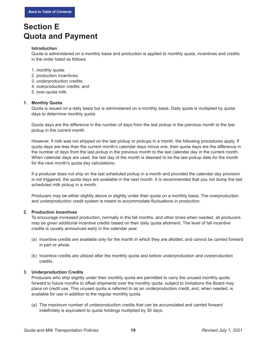### **Section E Quota and Payment**

#### **Introduction**

Quota is administered on a monthly basis and production is applied to monthly quota, incentives and credits in the order listed as follows:

- 1. monthly quota;
- 2. production incentives;
- 3. underproduction credits;
- 4. overproduction credits; and
- 5. over-quota milk.

#### <span id="page-23-0"></span>**1. Monthly Quota**

Quota is issued on a daily basis but is administered on a monthly basis. Daily quota is multiplied by quota days to determine monthly quota.

Quota days are the difference in the number of days from the last pickup in the previous month to the last pickup in the current month.

However, if milk was not shipped on the last pickup or pickups in a month, the following procedures apply. If quota days are less than the current month's calendar days minus one, then quota days are the difference in the number of days from the last pickup in the previous month to the last calendar day in the current month. When calendar days are used, the last day of the month is deemed to be the last pickup date for the month for the next month's quota day calculations.

If a producer does not ship on the last scheduled pickup in a month and provided the calendar day provision is not triggered, the quota days are available in the next month. It is recommended that you not dump the last scheduled milk pickup in a month.

Producers may be either slightly above or slightly under their quota on a monthly basis. The overproduction and underproduction credit system is meant to accommodate fluctuations in production.

#### <span id="page-23-1"></span>**2. Production Incentives**

To encourage increased production, normally in the fall months, and other times when needed, all producers may be given additional incentive credits based on their daily quota allotment. The level of fall incentive credits is usually announced early in the calendar year.

- (a) Incentive credits are available only for the month in which they are allotted, and cannot be carried forward in part or whole.
- (b) Incentive credits are utilized after the monthly quota and before underproduction and overproduction credits.

#### **3. Underproduction Credits**

Producers who ship slightly under their monthly quota are permitted to carry the unused monthly quota forward to future months to offset shipments over the monthly quota, subject to limitations the Board may place on credit use. This unused quota is referred to as an underproduction credit, and, when needed, is available for use in addition to the regular monthly quota.

(a) The maximum number of underproduction credits that can be accumulated and carried forward indefinitely is equivalent to quota holdings multiplied by 30 days.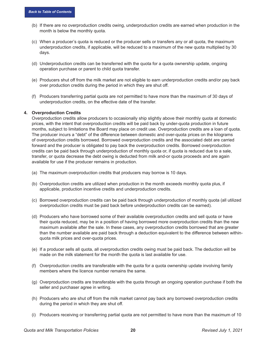- (b) If there are no overproduction credits owing, underproduction credits are earned when production in the month is below the monthly quota.
- (c) When a producer's quota is reduced or the producer sells or transfers any or all quota, the maximum underproduction credits, if applicable, will be reduced to a maximum of the new quota multiplied by 30 days.
- (d) Underproduction credits can be transferred with the quota for a quota ownership update, ongoing operation purchase or parent to child quota transfer.
- (e) Producers shut off from the milk market are not eligible to earn underproduction credits and/or pay back over production credits during the period in which they are shut off.
- (f) Producers transferring partial quota are not permitted to have more than the maximum of 30 days of underproduction credits, on the effective date of the transfer.

#### <span id="page-24-0"></span>**4. Overproduction Credits**

Overproduction credits allow producers to occasionally ship slightly above their monthly quota at domestic prices, with the intent that overproduction credits will be paid back by under-quota production in future months, subject to limitations the Board may place on credit use. Overproduction credits are a loan of quota. The producer incurs a "debt" of the difference between domestic and over-quota prices on the kilograms of overproduction credits borrowed. Borrowed overproduction credits and the associated debt are carried forward and the producer is obligated to pay back the overproduction credits. Borrowed overproduction credits can be paid back through underproduction of monthly quota or, if quota is reduced due to a sale, transfer, or quota decrease the debt owing is deducted from milk and-or quota proceeds and are again available for use if the producer remains in production.

- (a) The maximum overproduction credits that producers may borrow is 10 days.
- (b) Overproduction credits are utilized when production in the month exceeds monthly quota plus, if applicable, production incentive credits and underproduction credits.
- (c) Borrowed overproduction credits can be paid back through underproduction of monthly quota (all utilized overproduction credits must be paid back before underproduction credits can be earned).
- (d) Producers who have borrowed some of their available overproduction credits and sell quota or have their quota reduced, may be in a position of having borrowed more overproduction credits than the new maximum available after the sale. In these cases, any overproduction credits borrowed that are greater than the number available are paid back through a deduction equivalent to the difference between withinquota milk prices and over-quota prices.
- (e) If a producer sells all quota, all overproduction credits owing must be paid back. The deduction will be made on the milk statement for the month the quota is last available for use.
- (f) Overproduction credits are transferable with the quota for a quota ownership update involving family members where the licence number remains the same.
- (g) Overproduction credits are transferable with the quota through an ongoing operation purchase if both the seller and purchaser agree in writing.
- (h) Producers who are shut off from the milk market cannot pay back any borrowed overproduction credits during the period in which they are shut off.
- (i) Producers receiving or transferring partial quota are not permitted to have more than the maximum of 10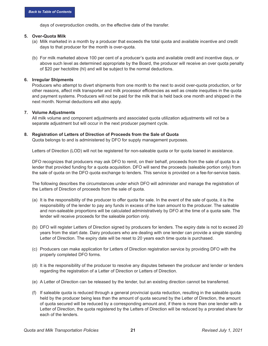days of overproduction credits, on the effective date of the transfer.

#### <span id="page-25-0"></span>**5. Over-Quota Milk**

- (a) Milk marketed in a month by a producer that exceeds the total quota and available incentive and credit days to that producer for the month is over-quota.
- (b) For milk marketed above 100 per cent of a producer's quota and available credit and incentive days, or above such level as determined appropriate by the Board, the producer will receive an over quota penalty of \$20 per hectolitre (hl) and will be subject to the normal deductions.

#### <span id="page-25-1"></span>**6. Irregular Shipments**

Producers who attempt to divert shipments from one month to the next to avoid over-quota production, or for other reasons, affect milk transporter and milk processor efficiencies as well as create inequities in the quota and payment systems. Producers will not be paid for the milk that is held back one month and shipped in the next month. Normal deductions will also apply.

#### **7. Volume Adjustments**

All milk volume and component adjustments and associated quota utilization adjustments will not be a separate adjustment but will occur in the next producer payment cycle.

#### <span id="page-25-2"></span>**8. Registration of Letters of Direction of Proceeds from the Sale of Quota**

Quota belongs to and is administered by DFO for supply management purposes.

Letters of Direction (LOD) will not be registered for non-saleable quota or for quota loaned in assistance.

DFO recognizes that producers may ask DFO to remit, on their behalf, proceeds from the sale of quota to a lender that provided funding for a quota acquisition. DFO will send the proceeds (saleable portion only) from the sale of quota on the DFO quota exchange to lenders. This service is provided on a fee-for-service basis.

The following describes the circumstances under which DFO will administer and manage the registration of the Letters of Direction of proceeds from the sale of quota.

- (a) It is the responsibility of the producer to offer quota for sale. In the event of the sale of quota, it is the responsibility of the lender to pay any funds in excess of the loan amount to the producer. The saleable and non-saleable proportions will be calculated administratively by DFO at the time of a quota sale. The lender will receive proceeds for the saleable portion only.
- (b) DFO will register Letters of Direction signed by producers for lenders. The expiry date is not to exceed 20 years from the start date. Dairy producers who are dealing with one lender can provide a single standing Letter of Direction. The expiry date will be reset to 20 years each time quota is purchased.
- (c) Producers can make application for Letters of Direction registration service by providing DFO with the properly completed DFO forms.
- (d) It is the responsibility of the producer to resolve any disputes between the producer and lender or lenders regarding the registration of a Letter of Direction or Letters of Direction.
- (e) A Letter of Direction can be released by the lender, but an existing direction cannot be transferred.
- (f) If saleable quota is reduced through a general provincial quota reduction, resulting in the saleable quota held by the producer being less than the amount of quota secured by the Letter of Direction, the amount of quota secured will be reduced by a corresponding amount and, if there is more than one lender with a Letter of Direction, the quota registered by the Letters of Direction will be reduced by a prorated share for each of the lenders.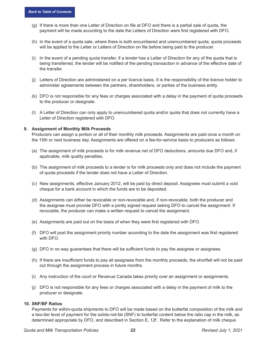- (g) If there is more than one Letter of Direction on file at DFO and there is a partial sale of quota, the payment will be made according to the date the Letters of Direction were first registered with DFO.
- (h) In the event of a quota sale, where there is both encumbered and unencumbered quota, quota proceeds will be applied to the Letter or Letters of Direction on file before being paid to the producer.
- (i) In the event of a pending quota transfer, if a lender has a Letter of Direction for any of the quota that is being transferred, the lender will be notified of the pending transaction in advance of the effective date of the transfer.
- (j) Letters of Direction are administered on a per licence basis. It is the responsibility of the licence holder to administer agreements between the partners, shareholders, or parties of the business entity.
- (k) DFO is not responsible for any fees or charges associated with a delay in the payment of quota proceeds to the producer or designate.
- (l) A Letter of Direction can only apply to unencumbered quota and/or quota that does not currently have a Letter of Direction registered with DFO.

#### <span id="page-26-0"></span>**9. Assignment of Monthly Milk Proceeds**

Producers can assign a portion or all of their monthly milk proceeds. Assignments are paid once a month on the 15th or next business day. Assignments are offered on a fee-for-service basis to producers as follows:

- (a) The assignment of milk proceeds is for milk revenue net of DFO deductions, amounts due DFO and, if applicable, milk quality penalties.
- (b) The assignment of milk proceeds to a lender is for milk proceeds only and does not include the payment of quota proceeds if the lender does not have a Letter of Direction.
- (c) New assignments, effective January 2012, will be paid by direct deposit. Assignees must submit a void cheque for a bank account in which the funds are to be deposited.
- (d) Assignments can either be revocable or non-revocable and, if non-revocable, both the producer and the assignee must provide DFO with a jointly signed request asking DFO to cancel the assignment. If revocable, the producer can make a written request to cancel the assignment.
- (e) Assignments are paid out on the basis of when they were first registered with DFO.
- (f) DFO will post the assignment priority number according to the date the assignment was first registered with DFO.
- (g) DFO in no way guarantees that there will be sufficient funds to pay the assignee or assignees.
- (h) If there are insufficient funds to pay all assignees from the monthly proceeds, the shortfall will not be paid out through the assignment process in future months.
- (i) Any instruction of the court or Revenue Canada takes priority over an assignment or assignments.
- (j) DFO is not responsible for any fees or charges associated with a delay in the payment of milk to the producer or designate.

#### <span id="page-26-1"></span>**10. SNF/BF Ratios**

Payments for within-quota shipments to DFO will be made based on the butterfat composition of the milk and a two-tier level of payment for the solids-not-fat (SNF) to butterfat content below the ratio cap in the milk, as determined appropriate by DFO, and described in Section E, 12f . Refer to the explanation of milk cheque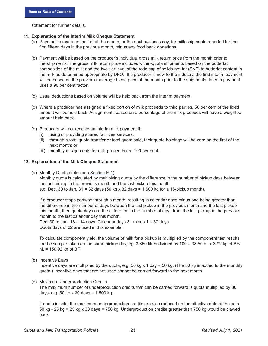statement for further details.

#### <span id="page-27-0"></span>**11. Explanation of the Interim Milk Cheque Statement**

- (a) Payment is made on the 1st of the month, or the next business day, for milk shipments reported for the first fifteen days in the previous month, minus any food bank donations.
- (b) Payment will be based on the producer's individual gross milk return price from the month prior to the shipments. The gross milk return price includes within-quota shipments based on the butterfat composition of the milk and the two-tier level of the ratio cap of solids-not-fat (SNF) to butterfat content in the milk as determined appropriate by DFO. If a producer is new to the industry, the first interim payment will be based on the provincial average blend price of the month prior to the shipments. Interim payment uses a 90 per cent factor.
- (c) Usual deductions based on volume will be held back from the interim payment.
- (d) Where a producer has assigned a fixed portion of milk proceeds to third parties, 50 per cent of the fixed amount will be held back. Assignments based on a percentage of the milk proceeds will have a weighted amount held back.
- (e) Producers will not receive an interim milk payment if:
	- (i) using or providing shared facilities services;
	- (ii) through a total quota transfer or total quota sale, their quota holdings will be zero on the first of the next month; or
	- (iii) monthly assignments for milk proceeds are 100 per cent.

#### <span id="page-27-1"></span>**12. Explanation of the Milk Cheque Statement**

(a) Monthly Quotas (also see [Section E-1\)](#page-23-0)

Monthly quota is calculated by multiplying quota by the difference in the number of pickup days between the last pickup in the previous month and the last pickup this month,

e.g. Dec. 30 to Jan. 31 = 32 days (50 kg x 32 days = 1,600 kg for a 16-pickup month).

If a producer stops partway through a month, resulting in calendar days minus one being greater than the difference in the number of days between the last pickup in the previous month and the last pickup this month, then quota days are the difference in the number of days from the last pickup in the previous month to the last calendar day this month.

Dec. 30 to Jan.  $13 = 14$  days. Calendar days 31 minus  $1 = 30$  days. Quota days of 32 are used in this example.

To calculate component yield, the volume of milk for a pickup is multiplied by the component test results for the sample taken on the same pickup day, eg. 3,850 litres divided by 100 = 38.50 hL x 3.92 kg of BF/  $hL = 150.92$  kg of BF.

(b) Incentive Days

 Incentive days are multiplied by the quota, e.g. 50 kg x 1 day = 50 kg. (The 50 kg is added to the monthly quota.) Incentive days that are not used cannot be carried forward to the next month.

(c) Maximum Underproduction Credits

The maximum number of underproduction credits that can be carried forward is quota multiplied by 30 days. e.g. 50 kg x 30 days =  $1,500$  kg.

If quota is sold, the maximum underproduction credits are also reduced on the effective date of the sale 50 kg - 25 kg = 25 kg x 30 days = 750 kg. Underproduction credits greater than 750 kg would be clawed back.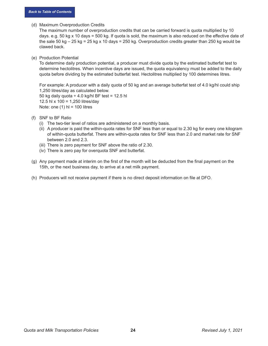(d) Maximum Overproduction Credits

The maximum number of overproduction credits that can be carried forward is quota multiplied by 10 days. e.g. 50 kg x 10 days = 500 kg. If quota is sold, the maximum is also reduced on the effective date of the sale 50 kg  $-25$  kg = 25 kg x 10 days = 250 kg. Overproduction credits greater than 250 kg would be clawed back.

(e) Production Potential

To determine daily production potential, a producer must divide quota by the estimated butterfat test to determine hectolitres. When incentive days are issued, the quota equivalency must be added to the daily quota before dividing by the estimated butterfat test. Hectolitres multiplied by 100 determines litres.

For example: A producer with a daily quota of 50 kg and an average butterfat test of 4.0 kg/hl could ship 1,250 litres/day as calculated below. 50 kg daily quota  $\div$  4.0 kg/hl BF test = 12.5 hl 12.5 hl x 100 = 1,250 litres/day Note: one  $(1)$  hl = 100 litres

- (f) SNF to BF Ratio
	- (i) The two-tier level of ratios are administered on a monthly basis.
	- (ii) A producer is paid the within-quota rates for SNF less than or equal to 2.30 kg for every one kilogram of within-quota butterfat. There are within-quota rates for SNF less than 2.0 and market rate for SNF between 2.0 and 2.3.
	- (iii) There is zero payment for SNF above the ratio of 2.30.
	- (iv) There is zero pay for overquota SNF and butterfat.
- (g) Any payment made at interim on the first of the month will be deducted from the final payment on the 15th, or the next business day, to arrive at a net milk payment.
- (h) Producers will not receive payment if there is no direct deposit information on file at DFO.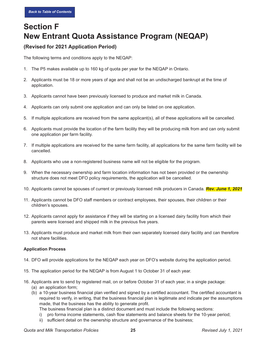# <span id="page-29-0"></span>**Section F New Entrant Quota Assistance Program (NEQAP)**

### **(Revised for 2021 Application Period)**

The following terms and conditions apply to the NEQAP:

- 1. The P5 makes available up to 160 kg of quota per year for the NEQAP in Ontario.
- 2. Applicants must be 18 or more years of age and shall not be an undischarged bankrupt at the time of application.
- 3. Applicants cannot have been previously licensed to produce and market milk in Canada.
- 4. Applicants can only submit one application and can only be listed on one application.
- 5. If multiple applications are received from the same applicant(s), all of these applications will be cancelled.
- 6. Applicants must provide the location of the farm facility they will be producing milk from and can only submit one application per farm facility.
- 7. If multiple applications are received for the same farm facility, all applications for the same farm facility will be cancelled.
- 8. Applicants who use a non-registered business name will not be eligible for the program.
- 9. When the necessary ownership and farm location information has not been provided or the ownership structure does not meet DFO policy requirements, the application will be cancelled.
- 10. Applicants cannot be spouses of current or previously licensed milk producers in Canada. *Rev. June 1, 2021*
- 11. Applicants cannot be DFO staff members or contract employees, their spouses, their children or their children's spouses.
- 12. Applicants cannot apply for assistance if they will be starting on a licensed dairy facility from which their parents were licensed and shipped milk in the previous five years.
- 13. Applicants must produce and market milk from their own separately licensed dairy facility and can therefore not share facilities.

#### **Application Process**

- 14. DFO will provide applications for the NEQAP each year on DFO's website during the application period.
- 15. The application period for the NEQAP is from August 1 to October 31 of each year.
- <span id="page-29-1"></span>16. Applicants are to send by registered mail, on or before October 31 of each year, in a single package: (a) an application form;
	- (b) a 10-year business financial plan verified and signed by a certified accountant. The certified accountant is required to verify, in writing, that the business financial plan is legitimate and indicate per the assumptions made, that the business has the ability to generate profit.
		- The business financial plan is a distinct document and must include the following sections:
		- i) pro forma income statements, cash flow statements and balance sheets for the 10-year period;
		- ii) sufficient detail on the ownership structure and governance of the business;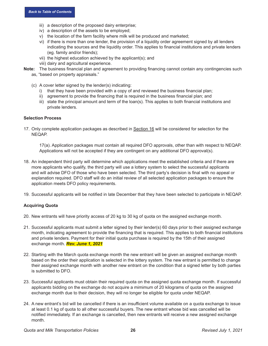- iii) a description of the proposed dairy enterprise;
- iv) a description of the assets to be employed;
- v) the location of the farm facility where milk will be produced and marketed;
- vi) if there is more than one lender, the provision of a liquidity order agreement signed by all lenders indicating the sources and the liquidity order. This applies to financial institutions and private lenders (eg. family and/or friends);
- vii) the highest education achieved by the applicant(s); and
- viii) dairy and agricultural experience.
- **Note:** The business financial plan and agreement to providing financing cannot contain any contingencies such
	- as, "based on property appraisals."
	- (c) A cover letter signed by the lender(s) indicating:
		- i) that they have been provided with a copy of and reviewed the business financial plan;
		- ii) agreement to provide the financing that is required in the business financial plan; and
		- iii) state the principal amount and term of the loan(s). This applies to both financial institutions and private lenders.

#### **Selection Process**

17. Only complete application packages as described in [Section 16](#page-29-1) will be considered for selection for the NEQAP.

17(a). Application packages must contain all required DFO approvals, other than with respect to NEQAP. Applications will not be accepted if they are contingent on any additional DFO approval(s).

- 18. An independent third party will determine which applications meet the established criteria and if there are more applicants who qualify, the third party will use a lottery system to select the successful applicants and will advise DFO of those who have been selected. The third party's decision is final with no appeal or explanation required. DFO staff will do an initial review of all selected application packages to ensure the application meets DFO policy requirements.
- 19. Successful applicants will be notified in late December that they have been selected to participate in NEQAP.

#### **Acquiring Quota**

- 20. New entrants will have priority access of 20 kg to 30 kg of quota on the assigned exchange month.
- 21. Successful applicants must submit a letter signed by their lender(s) 60 days prior to their assigned exchange month, indicating agreement to provide the financing that is required. This applies to both financial institutions and private lenders. Payment for their initial quota purchase is required by the 15th of their assigned exchange month. *Rev. June 1, 2021*
- 22. Starting with the March quota exchange month the new entrant will be given an assigned exchange month based on the order their application is selected in the lottery system. The new entrant is permitted to change their assigned exchange month with another new entrant on the condition that a signed letter by both parties is submitted to DFO.
- 23. Successful applicants must obtain their required quota on the assigned quota exchange month. If successful applicants bidding on the exchange do not acquire a mimimum of 20 kilograms of quota on the assigned exchange month due to their decision, they will no longer be eligible for quota under NEQAP.
- 24. A new entrant's bid will be cancelled if there is an insufficient volume available on a quota exchange to issue at least 0.1 kg of quota to all other successful buyers. The new entrant whose bid was cancelled will be notified immediately. If an exchange is cancelled, then new entrants will receive a new assigned exchange month.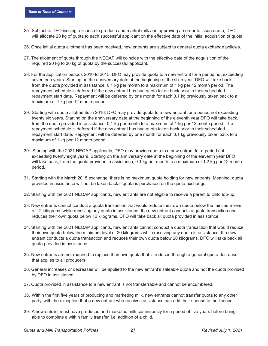- 25. Subject to DFO issuing a licence to produce and market milk and approving an order to issue quota, DFO will allocate 20 kg of quota to each successful applicant on the effective date of the initial acquisition of quota.
- 26. Once initial quota allotment has been received, new entrants are subject to general quota exchange policies.
- 27. The allotment of quota through the NEQAP will coincide with the effective date of the acquisition of the required 20 kg to 30 kg of quota by the successful applicant.
- 28. For the application periods 2010 to 2015, DFO may provide quota to a new entrant for a period not exceeding seventeen years. Starting on the anniversary date at the beginning of the sixth year, DFO will take back, from the quota provided in assistance, 0.1 kg per month to a maximum of 1 kg per 12 month period. The repayment schedule is deferred if the new entrant has had quota taken back prior to their scheduled repayment start date. Repayment will be deferred by one month for each 0.1 kg previously taken back to a maximum of 1 kg per 12 month period.
- 29. Starting with quota allotments in 2016, DFO may provide quota to a new entrant for a period not exceeding twenty six years. Starting on the anniversary date at the beginning of the eleventh year DFO will take back, from the quota provided in assistance, 0.1 kg per month to a maximum of 1 kg per 12 month period. The repayment schedule is deferred if the new entrant has had quota taken back prior to their scheduled repayment start date. Repayment will be deferred by one month for each 0.1 kg previously taken back to a maximum of 1 kg per 12 month period.
- 30. Starting with the 2021 NEQAP applicants, DFO may provide quota to a new entrant for a period not exceeding twenty eight years. Starting on the anniversary date at the beginning of the eleventh year DFO will take back, from the quota provided in assistance, 0.1 kg per month to a maximum of 1.2 kg per 12 month period.
- 31. Starting with the March 2015 exchange, there is no maximum quota holding for new entrants. Meaning, quota provided in assistance will not be taken back if quota is purchased on the quota exchange.
- 32. Starting with the 2021 NEQAP applicants, new entrants are not eligible to receive a parent to child top-up.
- 33. New entrants cannot conduct a quota transaction that would reduce their own quota below the minimum level of 12 kilograms while receiving any quota in assistance. If a new entrant conducts a quota transaction and reduces their own quota below 12 kilograms, DFO will take back all quota provided in assistance.
- 34. Starting with the 2021 NEQAP applicants, new entrants cannot conduct a quota transaction that would reduce their own quota below the minimum level of 20 kilograms while receiving any quota in assistance. If a new entrant conducts a quota transaction and reduces their own quota below 20 kilograms, DFO will take back all quota provided in assistance.
- 35. New entrants are not required to replace their own quota that is reduced through a general quota decrease that applies to all producers.
- 36. General increases or decreases will be applied to the new entrant's saleable quota and not the quota provided by DFO in assistance.
- 37. Quota provided in assistance to a new entrant is not transferrable and cannot be encumbered.
- 38. Within the first five years of producing and marketing milk, new entrants cannot transfer quota to any other party, with the exception that a new entrant who receives assistance can add their spouse to the licence.
- 39. A new entrant must have produced and marketed milk continuously for a period of five years before being able to complete a within family transfer, i.e. addition of a child.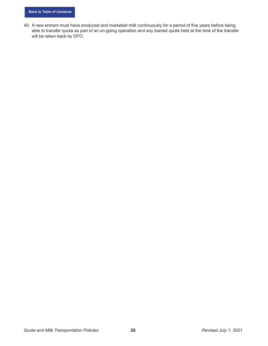40. A new entrant must have produced and marketed milk continuously for a period of five years before being able to transfer quota as part of an on-going operation and any loaned quota held at the time of the transfer will be taken back by DFO.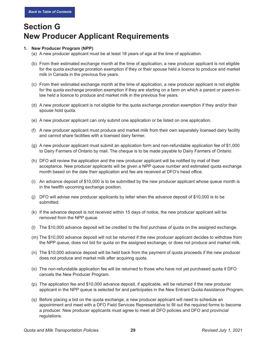# **Section G New Producer Applicant Requirements**

#### <span id="page-33-0"></span>**1. New Producer Program (NPP)**

- (a) A new producer applicant must be at least 18 years of age at the time of application.
- (b) From their estimated exchange month at the time of application, a new producer applicant is not eligible for the quota exchange proration exemption if they or their spouse held a licence to produce and market milk in Canada in the previous five years.
- (c) From their estimated exchange month at the time of application, a new producer applicant is not eligible for the quota exchange proration exemption if they are starting on a farm on which a parent or parent-inlaw held a licence to produce and market milk in the previous five years.
- (d) A new producer applicant is not eligible for the quota exchange proration exemption if they and/or their spouse hold quota.
- (e) A new producer applicant can only submit one application or be listed on one application.
- (f) A new producer applicant must produce and market milk from their own separately licensed dairy facility and cannot share facilities with a licensed dairy farmer.
- (g) A new producer applicant must submit an application form and non-refundable application fee of \$1,000 to Dairy Farmers of Ontario by mail. The cheque is to be made payable to Dairy Farmers of Ontario.
- (h) DFO will review the application and the new producer applicant will be notified by mail of their acceptance. New producer applicants will be given a NPP queue number and estimated quota exchange month based on the date their application and fee are received at DFO's head office.
- (i) An advance deposit of \$10,000 is to be submitted by the new producer applicant whose queue month is in the twelfth upcoming exchange position.
- (j) DFO will advise new producer applicants by letter when the advance deposit of \$10,000 is to be submitted.
- (k) If the advance deposit is not received within 15 days of notice, the new producer applicant will be removed from the NPP queue.
- (l) The \$10,000 advance deposit will be credited to the first purchase of quota on the assigned exchange.
- (m) The \$10,000 advance deposit will not be returned if the new producer applicant decides to withdraw from the NPP queue, does not bid for quota on the assigned exchange, or does not produce and market milk.
- (n) The \$10,000 advance deposit will be held back from the payment of quota proceeds if the new producer does not produce and market milk after acquiring quota.
- (o) The non-refundable application fee will be returned to those who have not yet purchased quota if DFO cancels the New Producer Program.
- (p) The application fee and \$10,000 advance deposit, if applicable, will be returned if the new producer applicant in the NPP queue is selected for and participates in the New Entrant Quota Assistance Program.
- (q) Before placing a bid on the quota exchange, a new producer applicant will need to schedule an appointment and meet with a DFO Field Services Representative to fill out the required forms to become a producer. New producer applicants must agree to meet all DFO policies and DFO and provincial regulations.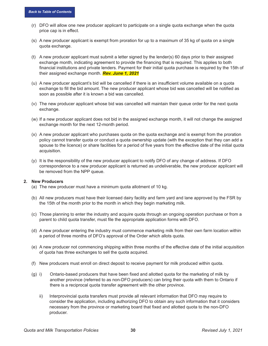- (r) DFO will allow one new producer applicant to participate on a single quota exchange when the quota price cap is in effect.
- (s) A new producer applicant is exempt from proration for up to a maximum of 35 kg of quota on a single quota exchange.
- (t) A new producer applicant must submit a letter signed by the lender(s) 60 days prior to their assigned exchange month, indicating agreement to provide the financing that is required. This applies to both financial institutions and private lenders. Payment for their initial quota purchase is required by the 15th of their assigned exchange month. *Rev. June 1, 2021*
- (u) A new producer applicant's bid will be cancelled if there is an insufficient volume available on a quota exchange to fill the bid amount. The new producer applicant whose bid was cancelled will be notified as soon as possible after it is known a bid was cancelled.
- (v) The new producer applicant whose bid was cancelled will maintain their queue order for the next quota exchange.
- (w) If a new producer applicant does not bid in the assigned exchange month, it will not change the assigned exchange month for the next 12-month period.
- (x) A new producer applicant who purchases quota on the quota exchange and is exempt from the proration policy cannot transfer quota or conduct a quota ownership update (with the exception that they can add a spouse to the licence) or share facilities for a period of five years from the effective date of the initial quota acquisition.
- (y) It is the responsibility of the new producer applicant to notify DFO of any change of address. If DFO correspondence to a new producer applicant is returned as undeliverable, the new producer applicant will be removed from the NPP queue.

#### <span id="page-34-0"></span>**2. New Producers**

- (a) The new producer must have a minimum quota allotment of 10 kg.
- (b) All new producers must have their licensed dairy facility and farm yard and lane approved by the FSR by the 15th of the month prior to the month in which they begin marketing milk.
- (c) Those planning to enter the industry and acquire quota through an ongoing operation purchase or from a parent to child quota transfer, must file the appropriate application forms with DFO.
- (d) A new producer entering the industry must commence marketing milk from their own farm location within a period of three months of DFO's approval of the Order which allots quota.
- (e) A new producer not commencing shipping within three months of the effective date of the initial acquisition of quota has three exchanges to sell the quota acquired.
- (f) New producers must enroll on direct deposit to receive payment for milk produced within quota.
- (g) i) Ontario-based producers that have been fixed and allotted quota for the marketing of milk by another province (referred to as non-DFO producers) can bring their quota with them to Ontario if there is a reciprocal quota transfer agreement with the other province.
	- ii) Interprovincial quota transfers must provide all relevant information that DFO may require to consider the application, including authorizing DFO to obtain any such information that it considers necessary from the province or marketing board that fixed and allotted quota to the non-DFO producer.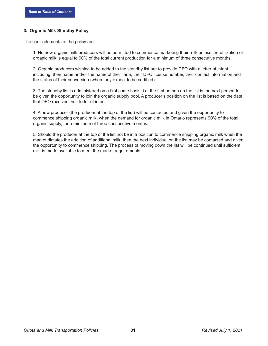#### <span id="page-35-0"></span>**3. Organic Milk Standby Policy**

The basic elements of the policy are:

1. No new organic milk producers will be permitted to commence marketing their milk unless the utilization of organic milk is equal to 90% of the total current production for a minimum of three consecutive months.

2. Organic producers wishing to be added to the standby list are to provide DFO with a letter of intent including, their name and/or the name of their farm, their DFO license number, their contact information and the status of their conversion (when they expect to be certified).

3. The standby list is administered on a first come basis, i.e. the first person on the list is the next person to be given the opportunity to join the organic supply pool. A producer's position on the list is based on the date that DFO receives their letter of intent.

4. A new producer (the producer at the top of the list) will be contacted and given the opportunity to commence shipping organic milk, when the demand for organic milk in Ontario represents 90% of the total organic supply, for a minimum of three consecutive months.

5. Should the producer at the top of the list not be in a position to commence shipping organic milk when the market dictates the addition of additional milk, then the next individual on the list may be contacted and given the opportunity to commence shipping. The process of moving down the list will be continued until sufficient milk is made available to meet the market requirements.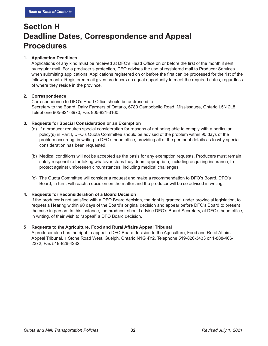### **Section H Deadline Dates, Correspondence and Appeal Procedures**

#### <span id="page-36-0"></span>**1. Application Deadlines**

Applications of any kind must be received at DFO's Head Office on or before the first of the month if sent by regular mail. For a producer's protection, DFO advises the use of registered mail to Producer Services when submitting applications. Applications registered on or before the first can be processed for the 1st of the following month. Registered mail gives producers an equal opportunity to meet the required dates, regardless of where they reside in the province.

#### <span id="page-36-1"></span>**2. Correspondence**

Correspondence to DFO's Head Office should be addressed to: Secretary to the Board, Dairy Farmers of Ontario, 6780 Campobello Road, Mississauga, Ontario L5N 2L8, Telephone 905-821-8970, Fax 905-821-3160.

#### <span id="page-36-2"></span>**3. Requests for Special Consideration or an Exemption**

- (a) If a producer requires special consideration for reasons of not being able to comply with a particular policy(s) in Part I, DFO's Quota Committee should be advised of the problem within 90 days of the problem occurring, in writing to DFO's head office, providing all of the pertinent details as to why special consideration has been requested.
- (b) Medical conditions will not be accepted as the basis for any exemption requests. Producers must remain solely responsible for taking whatever steps they deem appropriate, including acquiring insurance, to protect against unforeseen circumstances, including medical challenges.
- (c) The Quota Committee will consider a request and make a recommendation to DFO's Board. DFO's Board, in turn, will reach a decision on the matter and the producer will be so advised in writing.

#### <span id="page-36-3"></span>**4. Requests for Reconsideration of a Board Decision**

If the producer is not satisfied with a DFO Board decision, the right is granted, under provincial legislation, to request a Hearing within 90 days of the Board's original decision and appear before DFO's Board to present the case in person. In this instance, the producer should advise DFO's Board Secretary, at DFO's head office, in writing, of their wish to "appeal" a DFO Board decision.

#### <span id="page-36-4"></span>**5 Requests to the Agriculture, Food and Rural Affairs Appeal Tribunal**

A producer also has the right to appeal a DFO Board decision to the Agriculture, Food and Rural Affairs Appeal Tribunal, 1 Stone Road West, Guelph, Ontario N1G 4Y2, Telephone 519-826-3433 or 1-888-466- 2372, Fax 519-826-4232.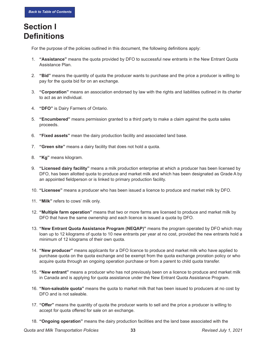### <span id="page-37-0"></span>**Section I Definitions**

For the purpose of the policies outlined in this document, the following definitions apply:

- 1. **"Assistance"** means the quota provided by DFO to successful new entrants in the New Entrant Quota Assistance Plan.
- 2. **"Bid"** means the quantity of quota the producer wants to purchase and the price a producer is willing to pay for the quota bid for on an exchange.
- 3. **"Corporation"** means an association endorsed by law with the rights and liabilities outlined in its charter to act as an individual.
- 4. **"DFO"** is Dairy Farmers of Ontario.
- 5. **"Encumbered"** means permission granted to a third party to make a claim against the quota sales proceeds.
- 6. **"Fixed assets"** mean the dairy production facility and associated land base.
- 7. **"Green site"** means a dairy facility that does not hold a quota.
- 8. **"Kg"** means kilogram.
- 9. **"Licensed dairy facility"** means a milk production enterprise at which a producer has been licensed by DFO, has been allotted quota to produce and market milk and which has been designated as Grade A by an appointed fieldperson or is linked to primary production facility.
- 10. **"Licensee"** means a producer who has been issued a licence to produce and market milk by DFO.
- 11. **"Milk"** refers to cows' milk only.
- 12. **"Multiple farm operation"** means that two or more farms are licensed to produce and market milk by DFO that have the same ownership and each licence is issued a quota by DFO.
- 13. **"New Entrant Quota Assistance Program (NEQAP)"** means the program operated by DFO which may loan up to 12 kilograms of quota to 10 new entrants per year at no cost, provided the new entrants hold a minimum of 12 kilograms of their own quota.
- 14. **"New producer"** means applicants for a DFO licence to produce and market milk who have applied to purchase quota on the quota exchange and be exempt from the quota exchange proration policy or who acquire quota through an ongoing operation purchase or from a parent to child quota transfer.
- 15. **"New entrant"** means a producer who has not previously been on a licence to produce and market milk in Canada and is applying for quota assistance under the New Entrant Quota Assistance Program.
- 16. **"Non-saleable quota"** means the quota to market milk that has been issued to producers at no cost by DFO and is not saleable.
- 17. **"Offer"** means the quantity of quota the producer wants to sell and the price a producer is willing to accept for quota offered for sale on an exchange.
- 18. **"Ongoing operation"** means the dairy production facilities and the land base associated with the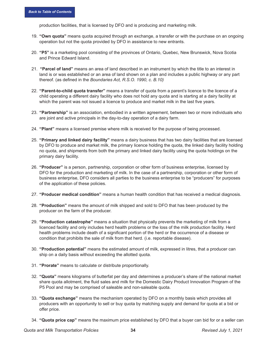production facilities, that is licensed by DFO and is producing and marketing milk.

- 19. **"Own quota"** means quota acquired through an exchange, a transfer or with the purchase on an ongoing operation but not the quota provided by DFO in assistance to new entrants.
- 20. **"P5"** is a marketing pool consisting of the provinces of Ontario, Quebec, New Brunswick, Nova Scotia and Prince Edward Island.
- 21. **"Parcel of land"** means an area of land described in an instrument by which the title to an interest in land is or was established or an area of land shown on a plan and includes a public highway or any part thereof. (as defined in the *Boundaries Act, R.S.O. 1990, c. B.10)*
- 22. **"Parent-to-child quota transfer"** means a transfer of quota from a parent's licence to the licence of a child operating a different dairy facility who does not hold any quota and is starting at a dairy facility at which the parent was not issued a licence to produce and market milk in the last five years.
- 23. **"Partnership"** is an association, embodied in a written agreement, between two or more individuals who are joint and active principals in the day-to-day operation of a dairy farm.
- 24. **"Plant"** means a licensed premise where milk is received for the purpose of being processed.
- 25. **"Primary and linked dairy facility"** means a dairy business that has two dairy facilities that are licensed by DFO to produce and market milk, the primary licence holding the quota, the linked dairy facility holding no quota, and shipments from both the primary and linked dairy facility using the quota holdings on the primary dairy facility.
- 26. **"Producer"** is a person, partnership, corporation or other form of business enterprise, licensed by DFO for the production and marketing of milk. In the case of a partnership, corporation or other form of business enterprise, DFO considers all parties to the business enterprise to be "producers" for purposes of the application of these policies.
- 27. **"Producer medical condition"** means a human health condition that has received a medical diagnosis.
- 28. **"Production"** means the amount of milk shipped and sold to DFO that has been produced by the producer on the farm of the producer.
- 29. **"Production catastrophe"** means a situation that physically prevents the marketing of milk from a licenced facility and only includes herd health problems or the loss of the milk production facility. Herd health problems include death of a significant portion of the herd or the occurrence of a disease or condition that prohibits the sale of milk from that herd. (i.e. reportable disease).
- 30. **"Production potential"** means the estimated amount of milk, expressed in litres, that a producer can ship on a daily basis without exceeding the allotted quota.
- 31. **"Prorate"** means to calculate or distribute proportionally.
- 32. **"Quota"** means kilograms of butterfat per day and determines a producer's share of the national market share quota allotment, the fluid sales and milk for the Domestic Dairy Product Innovation Program of the P5 Pool and may be comprised of saleable and non-saleable quota.
- 33. **"Quota exchange"** means the mechanism operated by DFO on a monthly basis which provides all producers with an opportunity to sell or buy quota by matching supply and demand for quota at a bid or offer price.
- 34. **"Quota price cap"** means the maximum price established by DFO that a buyer can bid for or a seller can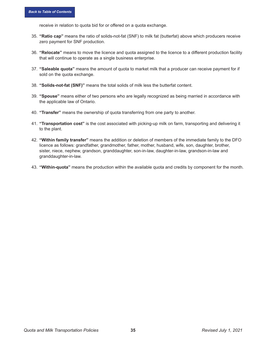receive in relation to quota bid for or offered on a quota exchange.

- 35. **"Ratio cap"** means the ratio of solids-not-fat (SNF) to milk fat (butterfat) above which producers receive zero payment for SNF production.
- 36. **"Relocate"** means to move the licence and quota assigned to the licence to a different production facility that will continue to operate as a single business enterprise.
- 37. **"Saleable quota"** means the amount of quota to market milk that a producer can receive payment for if sold on the quota exchange.
- 38. **"Solids-not-fat (SNF)"** means the total solids of milk less the butterfat content.
- 39. **"Spouse"** means either of two persons who are legally recognized as being married in accordance with the applicable law of Ontario.
- 40. **"Transfer"** means the ownership of quota transferring from one party to another.
- 41. **"Transportation cost"** is the cost associated with picking-up milk on farm, transporting and delivering it to the plant.
- 42. **"Within family transfer"** means the addition or deletion of members of the immediate family to the DFO licence as follows: grandfather, grandmother, father, mother, husband, wife, son, daughter, brother, sister, niece, nephew, grandson, granddaughter, son-in-law, daughter-in-law, grandson-in-law and granddaughter-in-law.
- 43. **"Within-quota"** means the production within the available quota and credits by component for the month.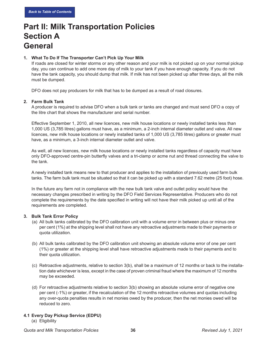# **Part II: Milk Transportation Policies Section A General**

#### **1. What To Do If The Transporter Can't Pick Up Your Milk**

If roads are closed for winter storms or any other reason and your milk is not picked up on your normal pickup day, you can continue to add one more day of milk to your tank if you have enough capacity. If you do not have the tank capacity, you should dump that milk. If milk has not been picked up after three days, all the milk must be dumped.

DFO does not pay producers for milk that has to be dumped as a result of road closures.

#### <span id="page-40-0"></span>**2. Farm Bulk Tank**

A producer is required to advise DFO when a bulk tank or tanks are changed and must send DFO a copy of the litre chart that shows the manufacturer and serial number.

Effective September 1, 2010, all new licences, new milk house locations or newly installed tanks less than 1,000 US (3,785 litres) gallons must have, as a minimum, a 2-inch internal diameter outlet and valve. All new licences, new milk house locations or newly installed tanks of 1,000 US (3,785 litres) gallons or greater must have, as a minimum, a 3-inch internal diameter outlet and valve.

As well, all new licences, new milk house locations or newly installed tanks regardless of capacity must have only DFO-approved centre-pin butterfly valves and a tri-clamp or acme nut and thread connecting the valve to the tank.

A newly installed tank means new to that producer and applies to the installation of previously used farm bulk tanks. The farm bulk tank must be situated so that it can be picked up with a standard 7.62 metre (25 foot) hose.

In the future any farm not in compliance with the new bulk tank valve and outlet policy would have the necessary changes prescribed in writing by the DFO Field Services Representative. Producers who do not complete the requirements by the date specified in writing will not have their milk picked up until all of the requirements are completed.

#### <span id="page-40-1"></span>**3. Bulk Tank Error Policy**

- (a) All bulk tanks calibrated by the DFO calibration unit with a volume error in between plus or minus one per cent (1%) at the shipping level shall not have any retroactive adjustments made to their payments or quota utilization.
- (b) All bulk tanks calibrated by the DFO calibration unit showing an absolute volume error of one per cent (1%) or greater at the shipping level shall have retroactive adjustments made to their payments and to their quota utilization.
- (c) Retroactive adjustments, relative to section 3(b), shall be a maximum of 12 months or back to the installation date whichever is less, except in the case of proven criminal fraud where the maximum of 12 months may be exceeded.
- (d) For retroactive adjustments relative to section 3(b) showing an absolute volume error of negative one per cent (-1%) or greater, if the recalculation of the 12 months retroactive volumes and quotas including any over-quota penalties results in net monies owed by the producer, then the net monies owed will be reduced to zero.

#### <span id="page-40-2"></span>**4.1 Every Day Pickup Service (EDPU)**

(a) Eligibility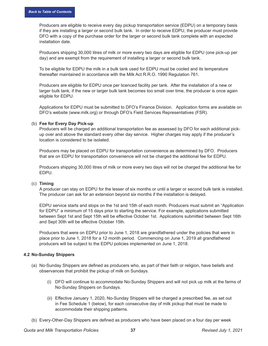Producers are eligible to receive every day pickup transportation service (EDPU) on a temporary basis if they are installing a larger or second bulk tank. In order to receive EDPU, the producer must provide DFO with a copy of the purchase order for the larger or second bulk tank complete with an expected installation date.

Producers shipping 30,000 litres of milk or more every two days are eligible for EDPU (one pick-up per day) and are exempt from the requirement of installing a larger or second bulk tank.

To be eligible for EDPU the milk in a bulk tank used for EDPU must be cooled and its temperature thereafter maintained in accordance with the Milk Act R.R.O. 1990 Regulation 761.

Producers are eligible for EDPU once per licenced facility per tank. After the installation of a new or larger bulk tank, if the new or larger bulk tank becomes too small over time, the producer is once again eligible for EDPU.

Applications for EDPU must be submitted to DFO's Finance Division. Application forms are available on DFO's website (www.milk.org) or through DFO's Field Services Representatives (FSR).

#### (b) **Fee for Every Day Pick-up**

Producers will be charged an additional transportation fee as assessed by DFO for each additional pickup over and above the standard every other day service. Higher charges may apply if the producer's location is considered to be isolated.

Producers may be placed on EDPU for transportation convenience as determined by DFO. Producers that are on EDPU for transportation convenience will not be charged the additional fee for EDPU.

Producers shipping 30,000 litres of milk or more every two days will not be charged the additional fee for EDPU.

#### (c) **Timing**

A producer can stay on EDPU for the lesser of six months or until a larger or second bulk tank is installed. The producer can ask for an extension beyond six months if the installation is delayed.

EDPU service starts and stops on the 1st and 15th of each month. Producers must submit an "Application for EDPU" a minimum of 15 days prior to starting the service. For example, applications submitted between Sept 1st and Sept 15th will be effective October 1st. Applications submitted between Sept 16th and Sept 30th will be effective October 15th.

Producers that were on EDPU prior to June 1, 2018 are grandfathered under the policies that were in place prior to June 1, 2018 for a 12 month period. Commencing on June 1, 2019 all grandfathered producers will be subject to the EDPU policies implemented on June 1, 2018.

#### <span id="page-41-0"></span>**4.2 No-Sunday Shippers**

- (a) No-Sunday Shippers are defined as producers who, as part of their faith or religion, have beliefs and observances that prohibit the pickup of milk on Sundays.
	- (i) DFO will continue to accommodate No-Sunday Shippers and will not pick up milk at the farms of No-Sunday Shippers on Sundays.
	- (ii) Effective January 1, 2020, No-Sunday Shippers will be charged a prescribed fee, as set out in Fee Schedule 1 (below), for each consecutive day of milk pickup that must be made to accommodate their shipping patterns.
- (b) Every-Other-Day Shippers are defined as producers who have been placed on a four day per week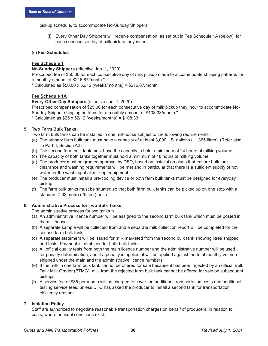pickup schedule, to accommodate No-Sunday Shippers.

(i) Every Other Day Shippers will receive compensation, as set out in Fee Schedule 1A (below), for each consecutive day of milk pickup they incur.

#### (c) **Fee Schedules**

#### **Fee Schedule 1**

**No-Sunday Shippers** (effective Jan. 1, 2020)

Prescribed fee of \$50.00 for each consecutive day of milk pickup made to accommodate shipping patterns for a monthly amount of \$216.67/month.\*

 $*$  Calculated as \$50.00 x 52/12 (weeks/months) = \$216.67/month

#### **Fee Schedule 1A**

**Every-Other-Day Shippers** (effective Jan. 1, 2020)

Prescribed compensation of \$25.00 for each consecutive day of milk pickup they incur to accommodate No-Sunday Shipper shipping patterns for a monthly amount of \$108.33/month.\*

 $*$  Calculated as \$25 x 52/12 (weeks/months) = \$108.33

#### <span id="page-42-0"></span>**5. Two Farm Bulk Tanks**

Two farm bulk tanks can be installed in one milkhouse subject to the following requirements.

- (a) The primary farm bulk tank must have a capacity of at least 3,000U.S. gallons (11,365 litres). (Refer also to Part II, Section A2)
- (b) The second farm bulk tank must have the capacity to hold a minimum of 24 hours of milking volume.
- (c) The capacity of both tanks together must hold a minimum of 48 hours of milking volume.
- (d) The producer must be granted approval by DFO, based on installation plans that ensure bulk tank clearance and washing requirements will be met and in particular that there is a sufficient supply of hot water for the washing of all milking equipment.
- (e) The producer must install a pre-cooling device or both farm bulk tanks must be designed for everyday pickup.
- (f) The farm bulk tanks must be situated so that both farm bulk tanks can be picked up on one stop with a standard 7.62 metre (25 foot) hose.

#### <span id="page-42-1"></span>**6. Administrative Process for Two Bulk Tanks**

The administrative process for two tanks is:

- (a) An administrative licence number will be assigned to the second farm bulk tank which must be posted in the milkhouse.
- (b) A separate sample will be collected from and a separate milk collection report will be completed for the second farm bulk tank.
- (c) A separate statement will be issued for milk marketed from the second bulk tank showing litres shipped and tests. Payment is combined for both bulk tanks.
- (d) All official quality tests from both the main licence number and the administrative number will be used for penalty determination, and if a penalty is applied, it will be applied against the total monthly volume shipped under the main and the administrative licence numbers.
- (e) If the milk in one farm bulk tank cannot be offered for sale because it has been rejected by an official Bulk Tank Milk Grader (BTMG), milk from the rejected farm bulk tank cannot be offered for sale on subsequent pickups.
- (f) A service fee of \$85 per month will be charged to cover the additional transportation costs and additional testing service fees, unless DFO has asked the producer to install a second tank for transportation efficiency reasons.

#### <span id="page-42-2"></span>**7. Isolation Policy**

Staff are authorized to negotiate reasonable transportation charges on behalf of producers, in relation to costs, where unusual conditions exist.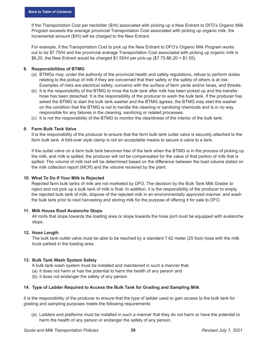If the Transportation Cost per hectoliter (\$/hl) associated with picking up a New Entrant to DFO's Organic Milk Program exceeds the average provincial Transportation Cost associated with picking up organic milk, the incremental amount (\$/hl) will be charged to the New Entrant.

For example, if the Transportation Cost to pick up the New Entrant to DFO's Organic Milk Program works out to be \$7.75/hl and the provincial average Transportation Cost associated with picking up organic milk is \$6.20, the New Entrant would be charged \$1.55/hl per pick-up (\$7.75-\$6.20 = \$1.55).

#### <span id="page-43-0"></span>**8. Responsibilities of BTMG**

- (a) BTMGs may, under the authority of the provincial health and safety regulations, refuse to perform duties relating to the pickup of milk if they are concerned that their safety or the safety of others is at risk. Examples of risks are electrical safety, concerns with the surface of farm yards and/or lanes, and threats.
- (b) It is the responsibility of the BTMG to rinse the bulk tank after milk has been picked up and the transfer hose has been detached. It is the responsibility of the producer to wash the bulk tank. If the producer has asked the BTMG to start the bulk tank washer and the BTMG agrees, the BTMG may start the washer on the condition that the BTMG is not to handle the cleaning or sanitizing chemicals and is in no way responsible for any failures in the cleaning, sanitizing or related processes.
- (c) It is not the responsibility of the BTMG to monitor the cleanliness of the interior of the bulk tank.

#### <span id="page-43-1"></span>**9. Farm Bulk Tank Valve**

It is the responsibility of the producer to ensure that the farm bulk tank outlet valve is securely attached to the farm bulk tank. A fold-over style clamp is not an acceptable means to secure a valve to a tank.

If the outlet valve on a farm bulk tank becomes free of the tank when the BTMG is in the process of picking up the milk, and milk is spilled, the producer will not be compensated for the value of that portion of milk that is spilled. The volume of milk lost will be determined based on the difference between the load volume stated on the milk collection report (MCR) and the volume received by the plant.

#### **10. What To Do If Your Milk Is Rejected**

Rejected farm bulk tanks of milk are not marketed by DFO. The decision by the Bulk Tank Milk Grader to reject and not pick up a bulk tank of milk is final. In addition, it is the responsibility of the producer to empty the rejected bulk tank of milk, dispose of the rejected milk in an environmentally approved manner, and wash the bulk tank prior to next harvesting and storing milk for the purpose of offering it for sale to DFO.

#### **11. Milk House Roof Avalanche Stops**

 All roofs that slope towards the loading area or slope towards the hose port must be equipped with avalanche stops.

#### **12. Hose Length**

 The bulk tank outlet valve must be able to be reached by a standard 7.62 meter (25 foot) hose with the milk truck parked in the loading area.

#### **13. Bulk Tank Wash System Safety**

- A bulk tank wash system must be installed and maintained in such a manner that:
- (a) it does not harm or has the potential to harm the health of any person and
- (b) it does not endanger the safety of any person

#### <span id="page-43-2"></span>**14. Type of Ladder Required to Access the Bulk Tank for Grading and Sampling Milk**

It is the responsibility of the producer to ensure that the type of ladder used to gain access to the bulk tank for grading and sampling purposes meets the following requirements:

(a) Ladders and platforms must be installed in such a manner that they do not harm or have the potential to harm the health of any person or endanger the safety of any person.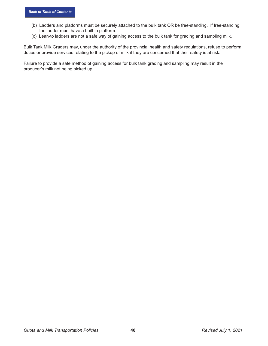- (b) Ladders and platforms must be securely attached to the bulk tank OR be free-standing. If free-standing, the ladder must have a built-in platform.
- (c) Lean-to ladders are not a safe way of gaining access to the bulk tank for grading and sampling milk.

Bulk Tank Milk Graders may, under the authority of the provincial health and safety regulations, refuse to perform duties or provide services relating to the pickup of milk if they are concerned that their safety is at risk.

Failure to provide a safe method of gaining access for bulk tank grading and sampling may result in the producer's milk not being picked up.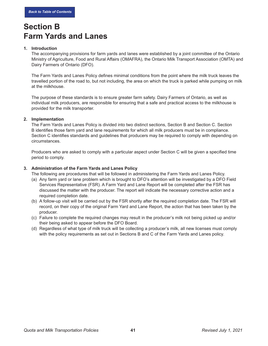### **Section B Farm Yards and Lanes**

#### <span id="page-45-0"></span>**1. Introduction**

The accompanying provisions for farm yards and lanes were established by a joint committee of the Ontario Ministry of Agriculture, Food and Rural Affairs (OMAFRA), the Ontario Milk Transport Association (OMTA) and Dairy Farmers of Ontario (DFO).

The Farm Yards and Lanes Policy defines minimal conditions from the point where the milk truck leaves the travelled portion of the road to, but not including, the area on which the truck is parked while pumping on milk at the milkhouse.

The purpose of these standards is to ensure greater farm safety. Dairy Farmers of Ontario, as well as individual milk producers, are responsible for ensuring that a safe and practical access to the milkhouse is provided for the milk transporter.

#### <span id="page-45-1"></span>**2. Implementation**

The Farm Yards and Lanes Policy is divided into two distinct sections, Section B and Section C. Section B identifies those farm yard and lane requirements for which all milk producers must be in compliance. Section C identifies standards and guidelines that producers may be required to comply with depending on circumstances.

Producers who are asked to comply with a particular aspect under Section C will be given a specified time period to comply.

#### <span id="page-45-2"></span>**3. Administration of the Farm Yards and Lanes Policy**

The following are procedures that will be followed in administering the Farm Yards and Lanes Policy.

- (a) Any farm yard or lane problem which is brought to DFO's attention will be investigated by a DFO Field Services Representative (FSR). A Farm Yard and Lane Report will be completed after the FSR has discussed the matter with the producer. The report will indicate the necessary corrective action and a required completion date.
- (b) A follow-up visit will be carried out by the FSR shortly after the required completion date. The FSR will record, on their copy of the original Farm Yard and Lane Report, the action that has been taken by the producer.
- (c) Failure to complete the required changes may result in the producer's milk not being picked up and/or their being asked to appear before the DFO Board.
- (d) Regardless of what type of milk truck will be collecting a producer's milk, all new licenses must comply with the policy requirements as set out in Sections B and C of the Farm Yards and Lanes policy.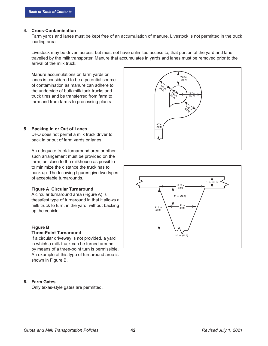#### <span id="page-46-0"></span>**4. Cross-Contamination**

Farm yards and lanes must be kept free of an accumulation of manure. Livestock is not permitted in the truck loading area.

Livestock may be driven across, but must not have unlimited access to, that portion of the yard and lane travelled by the milk transporter. Manure that accumulates in yards and lanes must be removed prior to the arrival of the milk truck.

Manure accumulations on farm yards or lanes is considered to be a potential source of contamination as manure can adhere to the underside of bulk milk tank trucks and truck tires and be transferred from farm to farm and from farms to processing plants.



#### <span id="page-46-1"></span>**5. Backing In or Out of Lanes**

DFO does not permit a milk truck driver to back in or out of farm yards or lanes.

An adequate truck turnaround area or other such arrangement must be provided on the farm, as close to the milkhouse as possible to minimize the distance the truck has to back up. The following figures give two types of acceptable turnarounds.

#### **Figure A Circular Turnaround**

A circular turnaround area (Figure A) is thesafest type of turnaround in that it allows a milk truck to turn, in the yard, without backing up the vehicle.

#### **Figure B**

#### **Three-Point Turnaround**

If a circular driveway is not provided, a yard in which a milk truck can be turned around by means of a three-point turn is permissible. An example of this type of turnaround area is shown in Figure B.

#### <span id="page-46-2"></span>**6. Farm Gates**

Only texas-style gates are permitted.

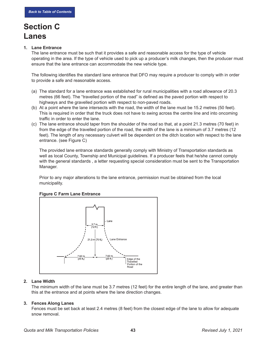# **Section C Lanes**

#### <span id="page-47-0"></span>**1. Lane Entrance**

The lane entrance must be such that it provides a safe and reasonable access for the type of vehicle operating in the area. If the type of vehicle used to pick up a producer's milk changes, then the producer must ensure that the lane entrance can accommodate the new vehicle type.

The following identifies the standard lane entrance that DFO may require a producer to comply with in order to provide a safe and reasonable access.

- (a) The standard for a lane entrance was established for rural municipalities with a road allowance of 20.3 metres (66 feet). The "travelled portion of the road" is defined as the paved portion with respect to highways and the gravelled portion with respect to non-paved roads.
- (b) At a point where the lane intersects with the road, the width of the lane must be 15.2 metres (50 feet). This is required in order that the truck does not have to swing across the centre line and into oncoming traffic in order to enter the lane.
- (c) The lane entrance should taper from the shoulder of the road so that, at a point 21.3 metres (70 feet) in from the edge of the travelled portion of the road, the width of the lane is a minimum of 3.7 metres (12 feet). The length of any necessary culvert will be dependent on the ditch location with respect to the lane entrance. (see Figure C)

The provided lane entrance standards generally comply with Ministry of Transportation standards as well as local County, Township and Municipal guidelines. If a producer feels that he/she cannot comply with the general standards , a letter requesting special consideration must be sent to the Transportation Manager.

Prior to any major alterations to the lane entrance, permission must be obtained from the local municipality.



#### **Figure C Farm Lane Entrance**

#### <span id="page-47-1"></span>**2. Lane Width**

The minimum width of the lane must be 3.7 metres (12 feet) for the entire length of the lane, and greater than this at the entrance and at points where the lane direction changes.

#### <span id="page-47-2"></span>**3. Fences Along Lanes**

Fences must be set back at least 2.4 metres (8 feet) from the closest edge of the lane to allow for adequate snow removal.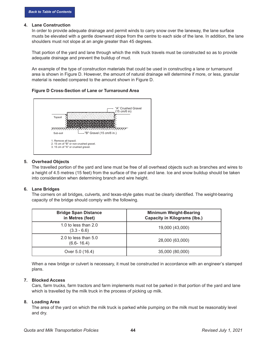#### <span id="page-48-0"></span>**4. Lane Construction**

In order to provide adequate drainage and permit winds to carry snow over the laneway, the lane surface musts be elevated with a gentle downward slope from the centre to each side of the lane. In addition, the lane shoulders must not slope at an angle greater than 45 degrees.

That portion of the yard and lane through which the milk truck travels must be constructed so as to provide adequate drainage and prevent the buildup of mud.

An example of the type of construction materials that could be used in constructing a lane or turnaround area is shown in Figure D. However, the amount of natural drainage will determine if more, or less, granular material is needed compared to the amount shown in Figure D.

#### **Figure D Cross-Section of Lane or Turnaround Area**



#### <span id="page-48-1"></span>**5. Overhead Objects**

The travelled portion of the yard and lane must be free of all overhead objects such as branches and wires to a height of 4.5 metres (15 feet) from the surface of the yard and lane. Ice and snow buildup should be taken into consideration when determining branch and wire height.

#### <span id="page-48-2"></span>**6. Lane Bridges**

The corners on all bridges, culverts, and texas-style gates must be clearly identified. The weight-bearing capacity of the bridge should comply with the following.

| <b>Bridge Span Distance</b><br>in Metres (feet) | <b>Minimum Weight-Bearing</b><br><b>Capacity in Kilograms (lbs.)</b> |
|-------------------------------------------------|----------------------------------------------------------------------|
| 1.0 to less than $2.0$<br>$(3.3 - 6.6)$         | 19,000 (43,000)                                                      |
| 2.0 to less than $5.0$<br>$(6.6 - 16.4)$        | 28,000 (63,000)                                                      |
| Over 5.0 (16.4)                                 | 35,000 (80,000)                                                      |

When a new bridge or culvert is necessary, it must be constructed in accordance with an engineer's stamped plans.

#### <span id="page-48-3"></span>**7. Blocked Access**

Cars, farm trucks, farm tractors and farm implements must not be parked in that portion of the yard and lane which is travelled by the milk truck in the process of picking up milk.

#### <span id="page-48-4"></span>**8. Loading Area**

The area of the yard on which the milk truck is parked while pumping on the milk must be reasonably level and dry.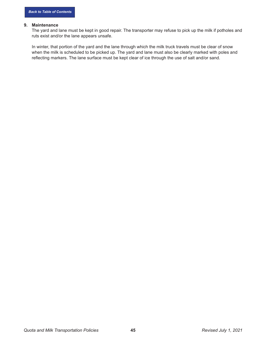#### <span id="page-49-0"></span>**9. Maintenance**

The yard and lane must be kept in good repair. The transporter may refuse to pick up the milk if potholes and ruts exist and/or the lane appears unsafe.

In winter, that portion of the yard and the lane through which the milk truck travels must be clear of snow when the milk is scheduled to be picked up. The yard and lane must also be clearly marked with poles and reflecting markers. The lane surface must be kept clear of ice through the use of salt and/or sand.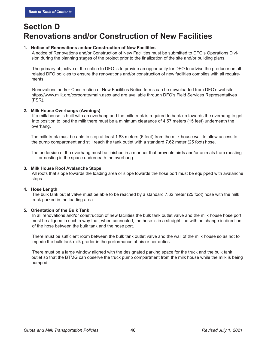### **Section D Renovations and/or Construction of New Facilities**

#### <span id="page-50-0"></span>**1. Notice of Renovations and/or Construction of New Facilities**

 A notice of Renovations and/or Construction of New Facilities must be submitted to DFO's Operations Division during the planning stages of the project prior to the finalization of the site and/or building plans.

 The primary objective of the notice to DFO is to provide an opportunity for DFO to advise the producer on all related DFO policies to ensure the renovations and/or construction of new facilities complies with all requirements.

 Renovations and/or Construction of New Facilities Notice forms can be downloaded from DFO's website https://www.milk.org/corporate/main.aspx and are available through DFO's Field Services Representatives (FSR).

#### <span id="page-50-1"></span>**2. Milk House Overhangs (Awnings)**

 If a milk house is built with an overhang and the milk truck is required to back up towards the overhang to get into position to load the milk there must be a minimum clearance of 4.57 meters (15 feet) underneath the overhang.

 The milk truck must be able to stop at least 1.83 meters (6 feet) from the milk house wall to allow access to the pump compartment and still reach the tank outlet with a standard 7.62 meter (25 foot) hose.

 The underside of the overhang must be finished in a manner that prevents birds and/or animals from roosting or nesting in the space underneath the overhang.

#### <span id="page-50-2"></span>**3. Milk House Roof Avalanche Stops**

 All roofs that slope towards the loading area or slope towards the hose port must be equipped with avalanche stops.

#### <span id="page-50-3"></span>**4. Hose Length**

 The bulk tank outlet valve must be able to be reached by a standard 7.62 meter (25 foot) hose with the milk truck parked in the loading area.

#### <span id="page-50-4"></span>**5. Orientation of the Bulk Tank**

 In all renovations and/or construction of new facilities the bulk tank outlet valve and the milk house hose port must be aligned in such a way that, when connected, the hose is in a straight line with no change in direction of the hose between the bulk tank and the hose port.

 There must be sufficient room between the bulk tank outlet valve and the wall of the milk house so as not to impede the bulk tank milk grader in the performance of his or her duties.

 There must be a large window aligned with the designated parking space for the truck and the bulk tank outlet so that the BTMG can observe the truck pump compartment from the milk house while the milk is being pumped.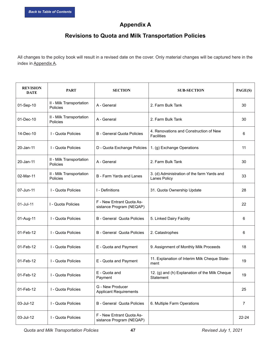### <span id="page-51-0"></span>**Appendix A**

### **Revisions to Quota and Milk Transportation Policies**

All changes to the policy book will result in a revised date on the cover. Only material changes will be captured here in the index in [Appendix A.](#page-51-0)

| <b>REVISION</b><br><b>DATE</b> | <b>PART</b>                          | <b>SECTION</b>                                        | <b>SUB-SECTION</b>                                                 | PAGE(S) |
|--------------------------------|--------------------------------------|-------------------------------------------------------|--------------------------------------------------------------------|---------|
| 01-Sep-10                      | II - Milk Transportation<br>Policies | A - General                                           | 2. Farm Bulk Tank                                                  | 30      |
| 01-Dec-10                      | II - Milk Transportation<br>Policies | A - General                                           | 2. Farm Bulk Tank                                                  | 30      |
| 14-Dec-10                      | I - Quota Policies                   | <b>B</b> - General Quota Policies                     | 4. Renovations and Construction of New<br><b>Facilities</b>        | 6       |
| 20-Jan-11                      | I - Quota Policies                   | D - Quota Exchange Policies                           | 1. (g) Exchange Operations                                         | 11      |
| 20-Jan-11                      | II - Milk Transportation<br>Policies | A - General                                           | 2. Farm Bulk Tank                                                  | 30      |
| 02-Mar-11                      | II - Milk Transportation<br>Policies | B - Farm Yards and Lanes                              | 3. (d) Administration of the farm Yards and<br><b>Lanes Policy</b> | 33      |
| 07-Jun-11                      | I - Quota Policies                   | I - Definitions                                       | 31. Quota Ownership Update                                         | 28      |
| 01-Jul-11                      | I - Quota Policies                   | F - New Entrant Quota As-<br>sistance Program (NEQAP) |                                                                    | 22      |
| 01-Aug-11                      | I - Quota Policies                   | <b>B</b> - General Quota Policies                     | 5. Linked Dairy Facility                                           | 6       |
| 01-Feb-12                      | I - Quota Policies                   | <b>B</b> - General Quota Policies                     | 2. Catastrophes                                                    | 6       |
| 01-Feb-12                      | I - Quota Policies                   | E - Quota and Payment                                 | 9. Assignment of Monthly Milk Proceeds                             | 18      |
| 01-Feb-12                      | I - Quota Policies                   | E - Quota and Payment                                 | 11. Explanation of Interim Milk Cheque State-<br>ment              | 19      |
| 01-Feb-12                      | I - Quota Policies                   | E - Quota and<br>Payment                              | 12. (g) and (h) Explanation of the Milk Cheque<br>Statement        | 19      |
| 01-Feb-12                      | I - Quota Policies                   | G - New Producer<br><b>Applicant Requirements</b>     |                                                                    | 25      |
| 03-Jul-12                      | I - Quota Policies                   | <b>B</b> - General Quota Policies                     | 6. Multiple Farm Operations                                        | 7       |
| 03-Jul-12                      | I - Quota Policies                   | F - New Entrant Quota As-<br>sistance Program (NEQAP) |                                                                    | 22-24   |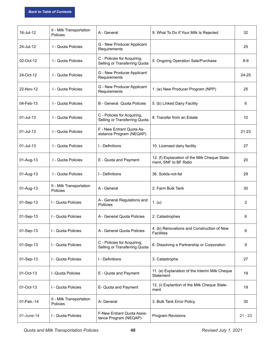| 16-Jul-12    | II - Milk Transportation<br>Policies | A - General                                                  | 9. What To Do If Your Milk Is Rejected                                 | 32        |
|--------------|--------------------------------------|--------------------------------------------------------------|------------------------------------------------------------------------|-----------|
| 24-Jul-12    | I - Quota Policies                   | G - New Producer Applicant<br>Requirements                   |                                                                        | 25        |
| 02-Oct-12    | I - Quota Policies                   | C - Policies for Acquiring,<br>Selling or Transferring Quota | 5. Ongoing Operation Sale/Purchase                                     | $8-9$     |
| 24-Oct-12    | I - Quota Policies                   | G - New Producer Applicant<br>Requirements                   |                                                                        | 24-25     |
| 22-Nov-12    | I - Quota Policies                   | G - New Producer Applicant<br>Requirements                   | 1. (w) New Producer Program (NPP)                                      | 25        |
| 04-Feb-13    | I - Quota Policies                   | <b>B</b> - General Quota Policies                            | 5. (b) Linked Dairy Facility                                           | 6         |
| 01-Jul-13    | I - Quota Policies                   | C - Policies for Acquiring,<br>Selling or Transferring Quota | 8. Transfer from an Estate                                             | 10        |
| 01-Jul-13    | I - Quota Policies                   | F - New Entrant Quota As-<br>sistance Program (NEQAP)        |                                                                        | 21-23     |
| $01$ -Jul-13 | I - Quota Policies                   | I - Definitions                                              | 10. Licensed dairy facility                                            | 27        |
| 01-Aug-13    | I - Quota Policies                   | E - Quota and Payment                                        | 12. (f) Explanation of the Milk Cheque State-<br>ment, SNF to BF Ratio | 20        |
| 01-Aug-13    | I - Quota Policies                   | I - Definitions                                              | 36. Solids-not-fat                                                     | 29        |
| 01-Aug-13    | II - Milk Transportation<br>Policies | A - General                                                  | 2. Farm Bulk Tank                                                      | 30        |
| 01-Sep-13    | I - Quota Policies                   | A - General Regulations and<br><b>Polilcies</b>              | 1. (u)                                                                 | 2         |
| 01-Sep-13    | I - Quota Policies                   | A - General Quota Policies                                   | 2. Catastrophes                                                        | 6         |
| 01-Sep-13    | I - Quota Policies                   | A - General Quota Policies                                   | 4. (b) Renovations and Construction of New<br><b>Facilities</b>        | 6         |
| 01-Sep-13    | I - Quota Policies                   | C - Policies for Acquiring,<br>Selling or Transferring Quota | 6. Dissolving a Partnership or Corporation                             | 9         |
| 01-Sep-13    | I - Quota Policies                   | I - Definitions                                              | 3. Catastrophe                                                         | 27        |
| 01-Oct-13    | I - Quota Policies                   | E - Quota and Payment                                        | 11. (e) Explanation of the Interim Milk Cheque<br><b>Statement</b>     | 19        |
| 01-Oct-13    | I - Quota Policies                   | E- Quota and Payment                                         | 12. (i) Explantion of the Milk Cheque State-<br>ment                   | 19        |
| 01-Feb.-14   | II - Milk Transportation<br>Policies | A- General                                                   | 3. Bulk Tank Error Policy                                              | 30        |
| 01-June-14   | I - Quota Policies                   | F-New Entrant Quota Assis-<br>tance Program (NEQAP)          | Program Revisions                                                      | $21 - 23$ |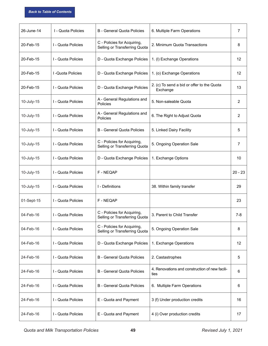| 26-June-14 | I - Quota Policies | <b>B</b> - General Quota Policies                            | 6. Multiple Farm Operations                            | $\overline{7}$ |
|------------|--------------------|--------------------------------------------------------------|--------------------------------------------------------|----------------|
| 20-Feb-15  | I - Quota Policies | C - Policies for Acquiring,<br>Selling or Transferring Quota | 2. Minimum Quota Transactions                          | 8              |
| 20-Feb-15  | I - Quota Policies | D - Quota Exchange Policies                                  | 1. (I) Exchange Operations                             | 12             |
| 20-Feb-15  | I - Quota Policies | D - Quota Exchange Policies                                  | 1. (o) Exchange Operations                             | 12             |
| 20-Feb-15  | I - Quota Policies | D - Quota Exchange Policies                                  | 2. (c) To send a bid or offer to the Quota<br>Exchange | 13             |
| 10-July-15 | I - Quota Policies | A - General Regulations and<br>Policies                      | 5. Non-saleable Quota                                  | $\overline{2}$ |
| 10-July-15 | I - Quota Policies | A - General Regulations and<br>Policies                      | 6. The Right to Adjust Quota                           | $\overline{2}$ |
| 10-July-15 | I - Quota Policies | <b>B</b> - General Quota Policies                            | 5. Linked Dairy Facility                               | 5              |
| 10-July-15 | I - Quota Policies | C - Policies for Acquiring,<br>Selling or Transferring Quota | 5. Ongoing Operation Sale                              | $\overline{7}$ |
| 10-July-15 | I - Quota Policies | D - Quota Exchange Policies                                  | 1. Exchange Options                                    | 10             |
| 10-July-15 | I - Quota Policies | F - NEQAP                                                    |                                                        | $20 - 23$      |
| 10-July-15 | I - Quota Policies | I - Definitions                                              | 38. Within family transfer                             | 29             |
| 01-Sept-15 | I - Quota Policies | F-NEQAP                                                      |                                                        | 23             |
| 04-Feb-16  | I - Quota Policies | C - Policies for Acquiring,<br>Selling or Transferring Quota | 3. Parent to Child Transfer                            | $7 - 8$        |
| 04-Feb-16  | I - Quota Policies | C - Policies for Acquiring,<br>Selling or Transferring Quota | 5. Ongoing Operation Sale                              | 8              |
| 04-Feb-16  | I - Quota Policies | D - Quota Exchange Policies                                  | 1. Exchange Operations                                 | 12             |
| 24-Feb-16  | I - Quota Policies | <b>B</b> - General Quota Policies                            | 2. Castastrophes                                       | 5              |
| 24-Feb-16  | I - Quota Policies | <b>B</b> - General Quota Policies                            | 4. Renovations and construction of new facili-<br>ties | 6              |
| 24-Feb-16  | I - Quota Policies | <b>B</b> - General Quota Policies                            | 6. Multiple Farm Operations                            | 6              |
| 24-Feb-16  | I - Quota Policies | E - Quota and Payment                                        | 3 (f) Under production credits                         | 16             |
| 24-Feb-16  | I - Quota Policies | E - Quota and Payment                                        | 4 (i) Over production credits                          | 17             |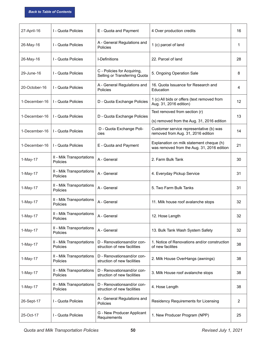| 27-April-16   | I - Quota Policies                    | E - Quota and Payment                                        | 4 Over production credits                                                              | 16             |
|---------------|---------------------------------------|--------------------------------------------------------------|----------------------------------------------------------------------------------------|----------------|
| 26-May-16     | I - Quota Policies                    | A - General Regulations and<br>Policies                      | 1 (c) parcel of land                                                                   | 1              |
| 26-May-16     | I - Quota Policies                    | I-Definitions                                                | 22. Parcel of land                                                                     | 28             |
| 29-June-16    | I - Quota Policies                    | C - Policies for Acquiring,<br>Selling or Transferring Quota | 5. Ongoing Operation Sale                                                              | 8              |
| 20-October-16 | I - Quota Policies                    | A - General Regulations and<br>Policies                      | 16. Quota Issuance for Research and<br>Education                                       | 4              |
| 1-December-16 | I - Quota Policies                    | D - Quota Exchange Policies                                  | 1 (c) All bids or offers (text removed from<br>Aug. 31, 2016 edition)                  | 12             |
| 1-December-16 | I - Quota Policies                    | D - Quota Exchange Policies                                  | Text removed from section (r)<br>(s) removed from the Aug. 31, 2016 edition            | 13             |
| 1-December-16 | I - Quota Policies                    | D - Quota Exchange Poli-<br>cies                             | Customer service representative (b) was<br>removed from Aug. 31, 2016 edition          | 14             |
| 1-December-16 | I - Quota Policies                    | E - Quota and Payment                                        | Explanation on milk statement cheque (h)<br>was removed from the Aug. 31, 2016 edition | 21             |
| 1-May-17      | II - Milk Transportations<br>Policies | A - General                                                  | 2. Farm Bulk Tank                                                                      | 30             |
| 1-May-17      | II - Milk Transportations<br>Policies | A - General                                                  | 4. Everyday Pickup Service                                                             | 31             |
| 1-May-17      | II - Milk Transportations<br>Policies | A - General                                                  | 5. Two Farm Bulk Tanks                                                                 | 31             |
| 1-May-17      | II - Milk Transportations<br>Policies | A - General                                                  | 11. Milk house roof avalanche stops                                                    | 32             |
| 1-May-17      | II - Milk Transportations<br>Policies | A - General                                                  | 12. Hose Length                                                                        | 32             |
| 1-May-17      | II - Milk Transportations<br>Policies | A - General                                                  | 13. Bulk Tank Wash System Safety                                                       | 32             |
| 1-May-17      | II - Milk Transportations<br>Policies | D - Renovationsand/or con-<br>struction of new facilities    | 1. Notice of Renovations and/or construction<br>of new facilites                       | 38             |
| 1-May-17      | II - Milk Transportations<br>Policies | D - Renovationsand/or con-<br>struction of new facilities    | 2. Milk House OverHangs (awnings)                                                      | 38             |
| 1-May-17      | II - Milk Transportations<br>Policies | D - Renovationsand/or con-<br>struction of new facilities    | 3. Milk House roof avalanche stops                                                     | 38             |
| 1-May-17      | II - Milk Transportations<br>Policies | D - Renovationsand/or con-<br>struction of new facilities    | 4. Hose Length                                                                         | 38             |
| 26-Sept-17    | I - Quota Policies                    | A - General Regulations and<br>Policies                      | Residency Requirements for Licensing                                                   | $\overline{2}$ |
| 25-Oct-17     | I - Quota Policies                    | G - New Producer Applicant<br>Requirements                   | 1. New Producer Program (NPP)                                                          | 25             |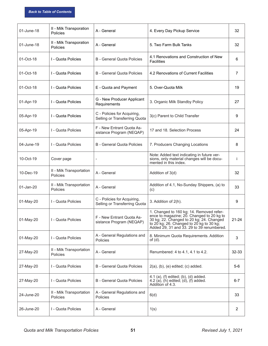| 01-June-18 | II - Milk Transporation<br>Policies  | A - General                                                  | 4. Every Day Pickup Service                                                                                                                                                                                                | 32        |
|------------|--------------------------------------|--------------------------------------------------------------|----------------------------------------------------------------------------------------------------------------------------------------------------------------------------------------------------------------------------|-----------|
| 01-June-18 | II - Milk Transporation<br>Policies  | A - General                                                  | 5. Two Farm Bulk Tanks                                                                                                                                                                                                     | 32        |
| 01-Oct-18  | I - Quota Policies                   | <b>B</b> - General Quota Policies                            | 4.1 Renovations and Construction of New<br><b>Facilities</b>                                                                                                                                                               | 6         |
| 01-Oct-18  | I - Quota Policies                   | B - General Quota Policies                                   | 4.2 Renovations of Current Facilities                                                                                                                                                                                      | 7         |
| 01-Oct-18  | I - Quota Policies                   | E - Quota and Payment                                        | 5. Over-Quota Milk                                                                                                                                                                                                         | 19        |
| 01-Apr-19  | I - Quota Policies                   | G - New Producer Applicant<br>Requirements                   | 3. Organic Milk Standby Policy                                                                                                                                                                                             | 27        |
| 05-Apr-19  | I - Quota Policies                   | C - Policies for Acquiring,<br>Selling or Transferring Quota | 3(c) Parent to Child Transfer                                                                                                                                                                                              | 9         |
| 05-Apr-19  | I - Quota Policies                   | F - New Entrant Quota As-<br>sistance Program (NEQAP)        | 17 and 18. Selection Process                                                                                                                                                                                               | 24        |
| 04-June-19 | I - Quota Policies                   | <b>B</b> - General Quota Policies                            | 7. Producers Changing Locations                                                                                                                                                                                            | 8         |
| 10-Oct-19  | Cover page                           |                                                              | Note: Added text indicating in future ver-<br>sions, only material changes will be docu-<br>mented in this index.                                                                                                          | İ.        |
| 10-Dec-19  | II - Milk Transportation<br>Policies | A - General                                                  | Addition of 3(d)                                                                                                                                                                                                           | 32        |
| 01-Jan-20  | II - Milk Transportation<br>Policies | A - General                                                  | Addition of 4.1, No-Sunday Shippers, (a) to<br>(c)                                                                                                                                                                         | 33        |
| 01-May-20  | I - Quota Policies                   | C - Policies for Acquiring,<br>Selling or Transferring Quota | 3. Addition of 2(h).                                                                                                                                                                                                       | 9         |
| 01-May-20  | I - Quota Policies                   | F - New Entrant Quota As-<br>sistance Program (NEQAP)        | 1. Changed to 160 kg; 14. Removed refer-<br>ence to magazine; 20. Changed to 20 kg to<br>30 kg; 22. Changed to 20 kg; 24. Changed<br>to 20 kg; 26. Changed to 20 kg to 30 kg;<br>Added 29, 31 and 33. 29 to 39 renumbered. | $21 - 24$ |
| 01-May-20  | I - Quota Policies                   | A - General Regulations and<br>Policies                      | 8. Minimum Quota Requirements. Addition<br>of $(d)$ .                                                                                                                                                                      | 3         |
| 27-May-20  | II - Milk Transportation<br>Policies | A - General                                                  | Renumbered: 4 to 4.1, 4.1 to 4.2.                                                                                                                                                                                          | 32-33     |
| 27-May-20  | I - Quota Policies                   | <b>B</b> - General Quota Policies                            | $2(a)$ , $(b)$ , $(e)$ edited; $(c)$ added.                                                                                                                                                                                | $5-6$     |
| 27-May-20  | I - Quota Policies                   | <b>B</b> - General Quota Policies                            | $4.1$ (a), (f) edited; (b), (d) added.<br>$4.2$ (a), (h) edited; (d), (f) added.<br>Addition of 4.3.                                                                                                                       | $6 - 7$   |
| 24-June-20 | II - Milk Transportation<br>Policies | A - General Regulations and<br>Policies                      | 6(d)                                                                                                                                                                                                                       | 33        |
| 26-June-20 | I - Quota Policies                   | A - General                                                  | 1(s)                                                                                                                                                                                                                       | 2         |